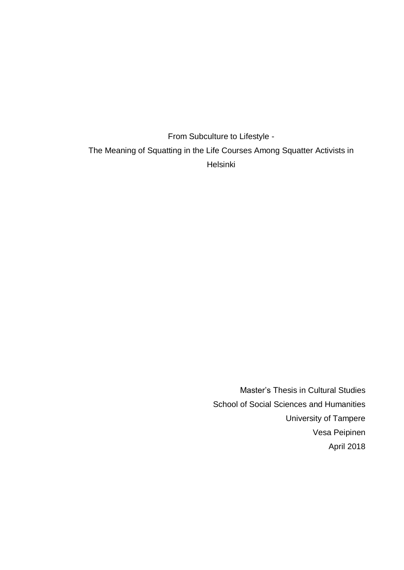From Subculture to Lifestyle - The Meaning of Squatting in the Life Courses Among Squatter Activists in Helsinki

> Master's Thesis in Cultural Studies School of Social Sciences and Humanities University of Tampere Vesa Peipinen April 2018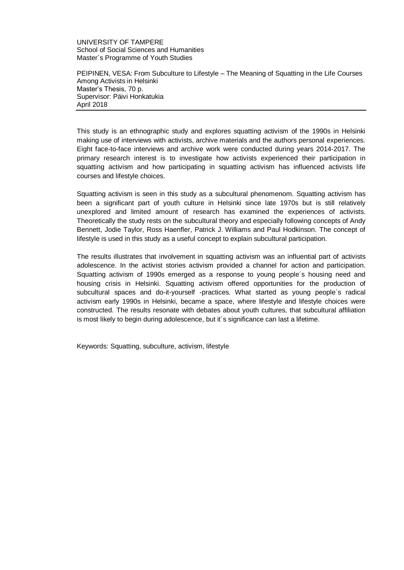UNIVERSITY OF TAMPERE School of Social Sciences and Humanities Master´s Programme of Youth Studies

PEIPINEN, VESA: From Subculture to Lifestyle – The Meaning of Squatting in the Life Courses Among Activists in Helsinki Master's Thesis, 70 p. Supervisor: Päivi Honkatukia April 2018

This study is an ethnographic study and explores squatting activism of the 1990s in Helsinki making use of interviews with activists, archive materials and the authors personal experiences. Eight face-to-face interviews and archive work were conducted during years 2014-2017. The primary research interest is to investigate how activists experienced their participation in squatting activism and how participating in squatting activism has influenced activists life courses and lifestyle choices.

Squatting activism is seen in this study as a subcultural phenomenom. Squatting activism has been a significant part of youth culture in Helsinki since late 1970s but is still relatively unexplored and limited amount of research has examined the experiences of activists. Theoretically the study rests on the subcultural theory and especially following concepts of Andy Bennett, Jodie Taylor, Ross Haenfler, Patrick J. Williams and Paul Hodkinson. The concept of lifestyle is used in this study as a useful concept to explain subcultural participation.

The results illustrates that involvement in squatting activism was an influential part of activists adolescence. In the activist stories activism provided a channel for action and participation. Squatting activism of 1990s emerged as a response to young people´s housing need and housing crisis in Helsinki. Squatting activism offered opportunities for the production of subcultural spaces and do-it-yourself -practices. What started as young people´s radical activism early 1990s in Helsinki, became a space, where lifestyle and lifestyle choices were constructed. The results resonate with debates about youth cultures, that subcultural affiliation is most likely to begin during adolescence, but it´s significance can last a lifetime.

Keywords: Squatting, subculture, activism, lifestyle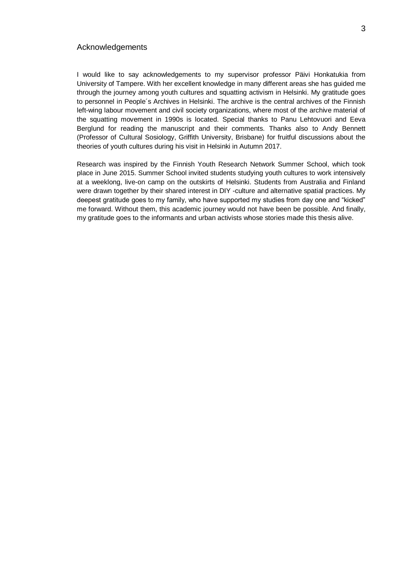#### Acknowledgements

I would like to say acknowledgements to my supervisor professor Päivi Honkatukia from University of Tampere. With her excellent knowledge in many different areas she has guided me through the journey among youth cultures and squatting activism in Helsinki. My gratitude goes to personnel in People´s Archives in Helsinki. The archive is the central archives of the Finnish left-wing labour movement and civil society organizations, where most of the archive material of the squatting movement in 1990s is located. Special thanks to Panu Lehtovuori and Eeva Berglund for reading the manuscript and their comments. Thanks also to Andy Bennett (Professor of Cultural Sosiology, Griffith University, Brisbane) for fruitful discussions about the theories of youth cultures during his visit in Helsinki in Autumn 2017.

Research was inspired by the Finnish Youth Research Network Summer School, which took place in June 2015. Summer School invited students studying youth cultures to work intensively at a weeklong, live-on camp on the outskirts of Helsinki. Students from Australia and Finland were drawn together by their shared interest in DIY -culture and alternative spatial practices. My deepest gratitude goes to my family, who have supported my studies from day one and "kicked" me forward. Without them, this academic journey would not have been be possible. And finally, my gratitude goes to the informants and urban activists whose stories made this thesis alive.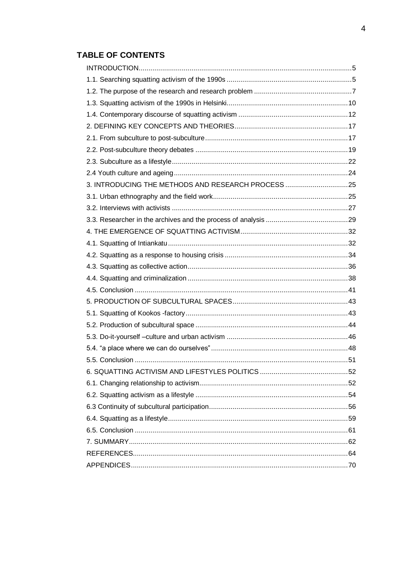# **TABLE OF CONTENTS**

| 3. INTRODUCING THE METHODS AND RESEARCH PROCESS 25 |
|----------------------------------------------------|
|                                                    |
|                                                    |
|                                                    |
|                                                    |
|                                                    |
|                                                    |
|                                                    |
|                                                    |
|                                                    |
|                                                    |
|                                                    |
|                                                    |
|                                                    |
|                                                    |
|                                                    |
|                                                    |
|                                                    |
|                                                    |
|                                                    |
|                                                    |
|                                                    |
|                                                    |
|                                                    |
|                                                    |
|                                                    |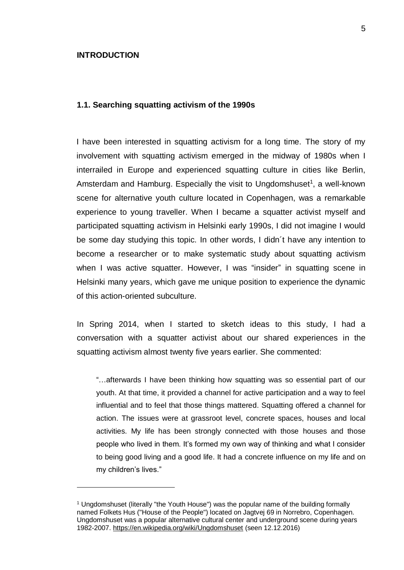#### <span id="page-4-0"></span>**INTRODUCTION**

1

#### <span id="page-4-1"></span>**1.1. Searching squatting activism of the 1990s**

I have been interested in squatting activism for a long time. The story of my involvement with squatting activism emerged in the midway of 1980s when I interrailed in Europe and experienced squatting culture in cities like Berlin, Amsterdam and Hamburg. Especially the visit to Ungdomshuset<sup>1</sup>, a well-known scene for alternative youth culture located in Copenhagen, was a remarkable experience to young traveller. When I became a squatter activist myself and participated squatting activism in Helsinki early 1990s, I did not imagine I would be some day studying this topic. In other words, I didn´t have any intention to become a researcher or to make systematic study about squatting activism when I was active squatter. However, I was "insider" in squatting scene in Helsinki many years, which gave me unique position to experience the dynamic of this action-oriented subculture.

In Spring 2014, when I started to sketch ideas to this study, I had a conversation with a squatter activist about our shared experiences in the squatting activism almost twenty five years earlier. She commented:

"…afterwards I have been thinking how squatting was so essential part of our youth. At that time, it provided a channel for active participation and a way to feel influential and to feel that those things mattered. Squatting offered a channel for action. The issues were at grassroot level, concrete spaces, houses and local activities. My life has been strongly connected with those houses and those people who lived in them. It's formed my own way of thinking and what I consider to being good living and a good life. It had a concrete influence on my life and on my children's lives."

<sup>&</sup>lt;sup>1</sup> Ungdomshuset (literally "the Youth House") was the popular name of the building formally named Folkets Hus ("House of the People") located on Jagtvej 69 in Norrebro, Copenhagen. Ungdomshuset was a popular alternative cultural center and underground scene during years 1982-2007.<https://en.wikipedia.org/wiki/Ungdomshuset> (seen 12.12.2016)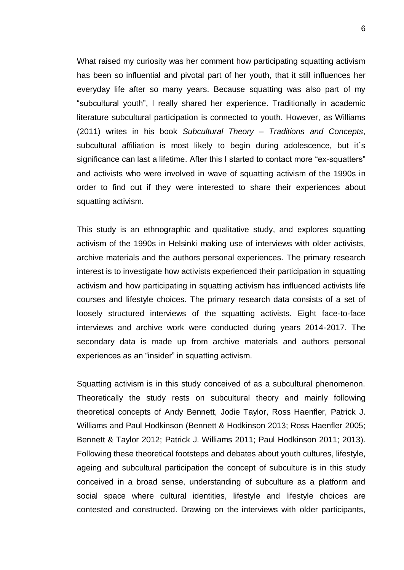What raised my curiosity was her comment how participating squatting activism has been so influential and pivotal part of her youth, that it still influences her everyday life after so many years. Because squatting was also part of my "subcultural youth", I really shared her experience. Traditionally in academic literature subcultural participation is connected to youth. However, as Williams (2011) writes in his book *Subcultural Theory – Traditions and Concepts*, subcultural affiliation is most likely to begin during adolescence, but it´s significance can last a lifetime. After this I started to contact more "ex-squatters" and activists who were involved in wave of squatting activism of the 1990s in order to find out if they were interested to share their experiences about squatting activism.

This study is an ethnographic and qualitative study, and explores squatting activism of the 1990s in Helsinki making use of interviews with older activists, archive materials and the authors personal experiences. The primary research interest is to investigate how activists experienced their participation in squatting activism and how participating in squatting activism has influenced activists life courses and lifestyle choices. The primary research data consists of a set of loosely structured interviews of the squatting activists. Eight face-to-face interviews and archive work were conducted during years 2014-2017. The secondary data is made up from archive materials and authors personal experiences as an "insider" in squatting activism.

Squatting activism is in this study conceived of as a subcultural phenomenon. Theoretically the study rests on subcultural theory and mainly following theoretical concepts of Andy Bennett, Jodie Taylor, Ross Haenfler, Patrick J. Williams and Paul Hodkinson (Bennett & Hodkinson 2013; Ross Haenfler 2005; Bennett & Taylor 2012; Patrick J. Williams 2011; Paul Hodkinson 2011; 2013). Following these theoretical footsteps and debates about youth cultures, lifestyle, ageing and subcultural participation the concept of subculture is in this study conceived in a broad sense, understanding of subculture as a platform and social space where cultural identities, lifestyle and lifestyle choices are contested and constructed. Drawing on the interviews with older participants,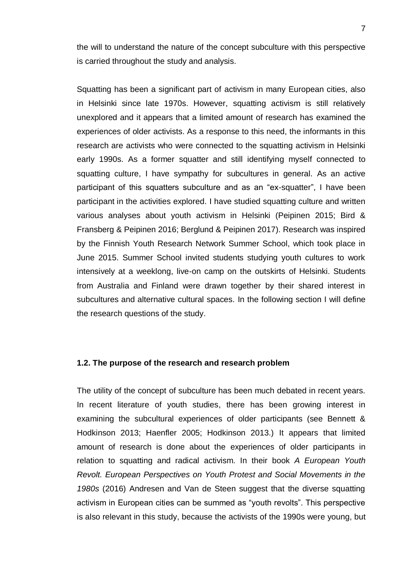the will to understand the nature of the concept subculture with this perspective is carried throughout the study and analysis.

Squatting has been a significant part of activism in many European cities, also in Helsinki since late 1970s. However, squatting activism is still relatively unexplored and it appears that a limited amount of research has examined the experiences of older activists. As a response to this need, the informants in this research are activists who were connected to the squatting activism in Helsinki early 1990s. As a former squatter and still identifying myself connected to squatting culture, I have sympathy for subcultures in general. As an active participant of this squatters subculture and as an "ex-squatter", I have been participant in the activities explored. I have studied squatting culture and written various analyses about youth activism in Helsinki (Peipinen 2015; Bird & Fransberg & Peipinen 2016; Berglund & Peipinen 2017). Research was inspired by the Finnish Youth Research Network Summer School, which took place in June 2015. Summer School invited students studying youth cultures to work intensively at a weeklong, live-on camp on the outskirts of Helsinki. Students from Australia and Finland were drawn together by their shared interest in subcultures and alternative cultural spaces. In the following section I will define the research questions of the study.

#### <span id="page-6-0"></span>**1.2. The purpose of the research and research problem**

The utility of the concept of subculture has been much debated in recent years. In recent literature of youth studies, there has been growing interest in examining the subcultural experiences of older participants (see Bennett & Hodkinson 2013; Haenfler 2005; Hodkinson 2013.) It appears that limited amount of research is done about the experiences of older participants in relation to squatting and radical activism. In their book *A European Youth Revolt. European Perspectives on Youth Protest and Social Movements in the 1980s* (2016) Andresen and Van de Steen suggest that the diverse squatting activism in European cities can be summed as "youth revolts". This perspective is also relevant in this study, because the activists of the 1990s were young, but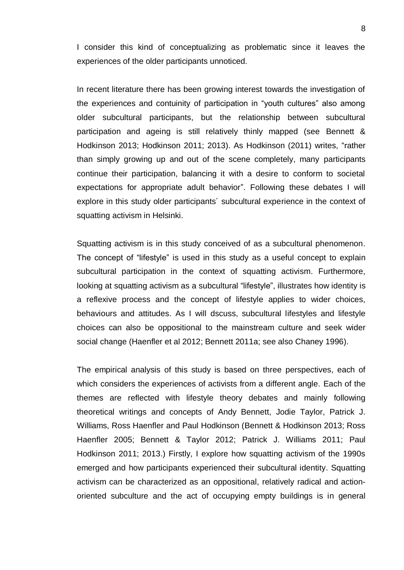I consider this kind of conceptualizing as problematic since it leaves the experiences of the older participants unnoticed.

In recent literature there has been growing interest towards the investigation of the experiences and contuinity of participation in "youth cultures" also among older subcultural participants, but the relationship between subcultural participation and ageing is still relatively thinly mapped (see Bennett & Hodkinson 2013; Hodkinson 2011; 2013). As Hodkinson (2011) writes, "rather than simply growing up and out of the scene completely, many participants continue their participation, balancing it with a desire to conform to societal expectations for appropriate adult behavior". Following these debates I will explore in this study older participants´ subcultural experience in the context of squatting activism in Helsinki.

Squatting activism is in this study conceived of as a subcultural phenomenon. The concept of "lifestyle" is used in this study as a useful concept to explain subcultural participation in the context of squatting activism. Furthermore, looking at squatting activism as a subcultural "lifestyle", illustrates how identity is a reflexive process and the concept of lifestyle applies to wider choices, behaviours and attitudes. As I will dscuss, subcultural lifestyles and lifestyle choices can also be oppositional to the mainstream culture and seek wider social change (Haenfler et al 2012; Bennett 2011a; see also Chaney 1996).

The empirical analysis of this study is based on three perspectives, each of which considers the experiences of activists from a different angle. Each of the themes are reflected with lifestyle theory debates and mainly following theoretical writings and concepts of Andy Bennett, Jodie Taylor, Patrick J. Williams, Ross Haenfler and Paul Hodkinson (Bennett & Hodkinson 2013; Ross Haenfler 2005; Bennett & Taylor 2012; Patrick J. Williams 2011; Paul Hodkinson 2011; 2013.) Firstly, I explore how squatting activism of the 1990s emerged and how participants experienced their subcultural identity. Squatting activism can be characterized as an oppositional, relatively radical and actionoriented subculture and the act of occupying empty buildings is in general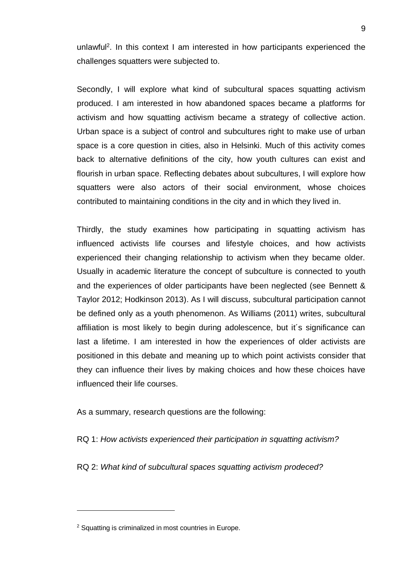unlawful<sup>2</sup>. In this context I am interested in how participants experienced the challenges squatters were subjected to.

Secondly, I will explore what kind of subcultural spaces squatting activism produced. I am interested in how abandoned spaces became a platforms for activism and how squatting activism became a strategy of collective action. Urban space is a subject of control and subcultures right to make use of urban space is a core question in cities, also in Helsinki. Much of this activity comes back to alternative definitions of the city, how youth cultures can exist and flourish in urban space. Reflecting debates about subcultures, I will explore how squatters were also actors of their social environment, whose choices contributed to maintaining conditions in the city and in which they lived in.

Thirdly, the study examines how participating in squatting activism has influenced activists life courses and lifestyle choices, and how activists experienced their changing relationship to activism when they became older. Usually in academic literature the concept of subculture is connected to youth and the experiences of older participants have been neglected (see Bennett & Taylor 2012; Hodkinson 2013). As I will discuss, subcultural participation cannot be defined only as a youth phenomenon. As Williams (2011) writes, subcultural affiliation is most likely to begin during adolescence, but it´s significance can last a lifetime. I am interested in how the experiences of older activists are positioned in this debate and meaning up to which point activists consider that they can influence their lives by making choices and how these choices have influenced their life courses.

As a summary, research questions are the following:

RQ 1: *How activists experienced their participation in squatting activism?*

RQ 2: *What kind of subcultural spaces squatting activism prodeced?*

1

<sup>&</sup>lt;sup>2</sup> Squatting is criminalized in most countries in Europe.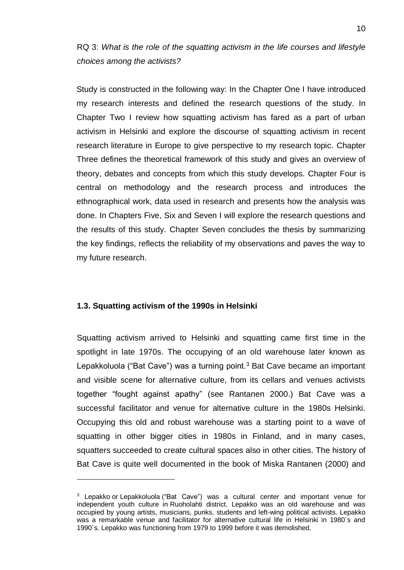RQ 3: *What is the role of the squatting activism in the life courses and lifestyle choices among the activists?*

Study is constructed in the following way: In the Chapter One I have introduced my research interests and defined the research questions of the study. In Chapter Two I review how squatting activism has fared as a part of urban activism in Helsinki and explore the discourse of squatting activism in recent research literature in Europe to give perspective to my research topic. Chapter Three defines the theoretical framework of this study and gives an overview of theory, debates and concepts from which this study develops. Chapter Four is central on methodology and the research process and introduces the ethnographical work, data used in research and presents how the analysis was done. In Chapters Five, Six and Seven I will explore the research questions and the results of this study. Chapter Seven concludes the thesis by summarizing the key findings, reflects the reliability of my observations and paves the way to my future research.

## <span id="page-9-0"></span>**1.3. Squatting activism of the 1990s in Helsinki**

1

Squatting activism arrived to Helsinki and squatting came first time in the spotlight in late 1970s. The occupying of an old warehouse later known as Lepakkoluola ("Bat Cave") was a turning point. $3$  Bat Cave became an important and visible scene for alternative culture, from its cellars and venues activists together "fought against apathy" (see Rantanen 2000.) Bat Cave was a successful facilitator and venue for alternative culture in the 1980s Helsinki. Occupying this old and robust warehouse was a starting point to a wave of squatting in other bigger cities in 1980s in Finland, and in many cases, squatters succeeded to create cultural spaces also in other cities. The history of Bat Cave is quite well documented in the book of Miska Rantanen (2000) and

<sup>&</sup>lt;sup>3</sup> Lepakko or Lepakkoluola ("Bat Cave") was a cultural center and important venue for independent youth culture in Ruoholahti district. Lepakko was an old warehouse and was occupied by young artists, musicians, punks, students and left-wing political activists. Lepakko was a remarkable venue and facilitator for alternative cultural life in Helsinki in 1980´s and 1990´s. Lepakko was functioning from 1979 to 1999 before it was demolished.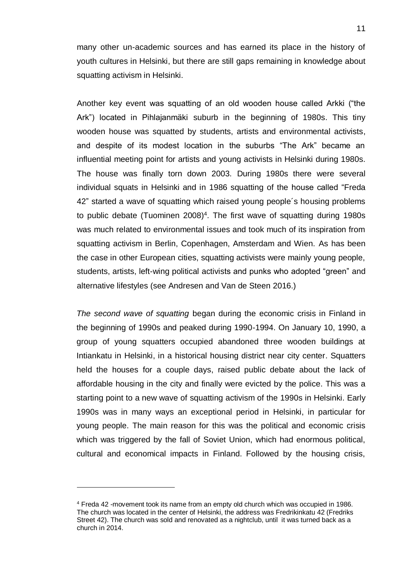many other un-academic sources and has earned its place in the history of youth cultures in Helsinki, but there are still gaps remaining in knowledge about squatting activism in Helsinki.

Another key event was squatting of an old wooden house called Arkki ("the Ark") located in Pihlajanmäki suburb in the beginning of 1980s. This tiny wooden house was squatted by students, artists and environmental activists, and despite of its modest location in the suburbs "The Ark" became an influential meeting point for artists and young activists in Helsinki during 1980s. The house was finally torn down 2003. During 1980s there were several individual squats in Helsinki and in 1986 squatting of the house called "Freda 42" started a wave of squatting which raised young people´s housing problems to public debate (Tuominen 2008)<sup>4</sup>. The first wave of squatting during 1980s was much related to environmental issues and took much of its inspiration from squatting activism in Berlin, Copenhagen, Amsterdam and Wien. As has been the case in other European cities, squatting activists were mainly young people, students, artists, left-wing political activists and punks who adopted "green" and alternative lifestyles (see Andresen and Van de Steen 2016.)

*The second wave of squatting* began during the economic crisis in Finland in the beginning of 1990s and peaked during 1990-1994. On January 10, 1990, a group of young squatters occupied abandoned three wooden buildings at Intiankatu in Helsinki, in a historical housing district near city center. Squatters held the houses for a couple days, raised public debate about the lack of affordable housing in the city and finally were evicted by the police. This was a starting point to a new wave of squatting activism of the 1990s in Helsinki. Early 1990s was in many ways an exceptional period in Helsinki, in particular for young people. The main reason for this was the political and economic crisis which was triggered by the fall of Soviet Union, which had enormous political, cultural and economical impacts in Finland. Followed by the housing crisis,

1

<sup>4</sup> Freda 42 -movement took its name from an empty old church which was occupied in 1986. The church was located in the center of Helsinki, the address was Fredrikinkatu 42 (Fredriks Street 42). The church was sold and renovated as a nightclub, until it was turned back as a church in 2014.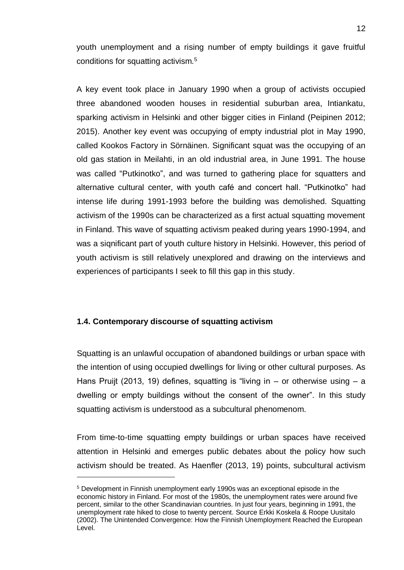youth unemployment and a rising number of empty buildings it gave fruitful conditions for squatting activism.<sup>5</sup>

A key event took place in January 1990 when a group of activists occupied three abandoned wooden houses in residential suburban area, Intiankatu, sparking activism in Helsinki and other bigger cities in Finland (Peipinen 2012; 2015). Another key event was occupying of empty industrial plot in May 1990, called Kookos Factory in Sörnäinen. Significant squat was the occupying of an old gas station in Meilahti, in an old industrial area, in June 1991. The house was called "Putkinotko", and was turned to gathering place for squatters and alternative cultural center, with youth café and concert hall. "Putkinotko" had intense life during 1991-1993 before the building was demolished. Squatting activism of the 1990s can be characterized as a first actual squatting movement in Finland. This wave of squatting activism peaked during years 1990-1994, and was a siqnificant part of youth culture history in Helsinki. However, this period of youth activism is still relatively unexplored and drawing on the interviews and experiences of participants I seek to fill this gap in this study.

## <span id="page-11-0"></span>**1.4. Contemporary discourse of squatting activism**

<u>.</u>

Squatting is an unlawful occupation of abandoned buildings or urban space with the intention of using occupied dwellings for living or other cultural purposes. As Hans Pruijt (2013, 19) defines, squatting is "living in  $-$  or otherwise using  $-$  a dwelling or empty buildings without the consent of the owner". In this study squatting activism is understood as a subcultural phenomenom.

From time-to-time squatting empty buildings or urban spaces have received attention in Helsinki and emerges public debates about the policy how such activism should be treated. As Haenfler (2013, 19) points, subcultural activism

<sup>5</sup> Development in Finnish unemployment early 1990s was an exceptional episode in the economic history in Finland. For most of the 1980s, the unemployment rates were around five percent, similar to the other Scandinavian countries. In just four years, beginning in 1991, the unemployment rate hiked to close to twenty percent. Source Erkki Koskela & Roope Uusitalo (2002). The Unintended Convergence: How the Finnish Unemployment Reached the European Level.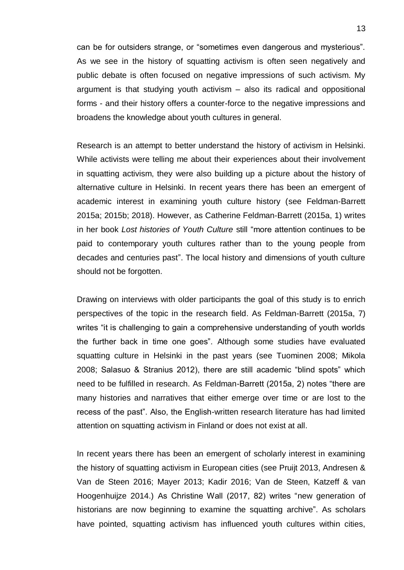can be for outsiders strange, or "sometimes even dangerous and mysterious". As we see in the history of squatting activism is often seen negatively and public debate is often focused on negative impressions of such activism. My argument is that studying youth activism – also its radical and oppositional forms - and their history offers a counter-force to the negative impressions and broadens the knowledge about youth cultures in general.

Research is an attempt to better understand the history of activism in Helsinki. While activists were telling me about their experiences about their involvement in squatting activism, they were also building up a picture about the history of alternative culture in Helsinki. In recent years there has been an emergent of academic interest in examining youth culture history (see Feldman-Barrett 2015a; 2015b; 2018). However, as Catherine Feldman-Barrett (2015a, 1) writes in her book *Lost histories of Youth Culture* still "more attention continues to be paid to contemporary youth cultures rather than to the young people from decades and centuries past". The local history and dimensions of youth culture should not be forgotten.

Drawing on interviews with older participants the goal of this study is to enrich perspectives of the topic in the research field. As Feldman-Barrett (2015a, 7) writes "it is challenging to gain a comprehensive understanding of youth worlds the further back in time one goes". Although some studies have evaluated squatting culture in Helsinki in the past years (see Tuominen 2008; Mikola 2008; Salasuo & Stranius 2012), there are still academic "blind spots" which need to be fulfilled in research. As Feldman-Barrett (2015a, 2) notes "there are many histories and narratives that either emerge over time or are lost to the recess of the past". Also, the English-written research literature has had limited attention on squatting activism in Finland or does not exist at all.

In recent years there has been an emergent of scholarly interest in examining the history of squatting activism in European cities (see Pruijt 2013, Andresen & Van de Steen 2016; Mayer 2013; Kadir 2016; Van de Steen, Katzeff & van Hoogenhuijze 2014.) As Christine Wall (2017, 82) writes "new generation of historians are now beginning to examine the squatting archive". As scholars have pointed, squatting activism has influenced youth cultures within cities,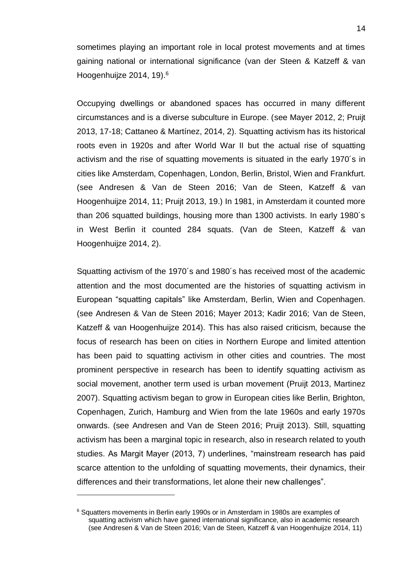sometimes playing an important role in local protest movements and at times gaining national or international significance (van der Steen & Katzeff & van Hoogenhuijze 2014, 19).<sup>6</sup>

Occupying dwellings or abandoned spaces has occurred in many different circumstances and is a diverse subculture in Europe. (see Mayer 2012, 2; Pruijt 2013, 17-18; Cattaneo & Martínez, 2014, 2). Squatting activism has its historical roots even in 1920s and after World War II but the actual rise of squatting activism and the rise of squatting movements is situated in the early 1970´s in cities like Amsterdam, Copenhagen, London, Berlin, Bristol, Wien and Frankfurt. (see Andresen & Van de Steen 2016; Van de Steen, Katzeff & van Hoogenhuijze 2014, 11; Pruijt 2013, 19.) In 1981, in Amsterdam it counted more than 206 squatted buildings, housing more than 1300 activists. In early 1980´s in West Berlin it counted 284 squats. (Van de Steen, Katzeff & van Hoogenhuijze 2014, 2).

Squatting activism of the 1970´s and 1980´s has received most of the academic attention and the most documented are the histories of squatting activism in European "squatting capitals" like Amsterdam, Berlin, Wien and Copenhagen. (see Andresen & Van de Steen 2016; Mayer 2013; Kadir 2016; Van de Steen, Katzeff & van Hoogenhuijze 2014). This has also raised criticism, because the focus of research has been on cities in Northern Europe and limited attention has been paid to squatting activism in other cities and countries. The most prominent perspective in research has been to identify squatting activism as social movement, another term used is urban movement (Pruijt 2013, Martinez 2007). Squatting activism began to grow in European cities like Berlin, Brighton, Copenhagen, Zurich, Hamburg and Wien from the late 1960s and early 1970s onwards. (see Andresen and Van de Steen 2016; Pruijt 2013). Still, squatting activism has been a marginal topic in research, also in research related to youth studies. As Margit Mayer (2013, 7) underlines, "mainstream research has paid scarce attention to the unfolding of squatting movements, their dynamics, their differences and their transformations, let alone their new challenges".

1

<sup>6</sup> Squatters movements in Berlin early 1990s or in Amsterdam in 1980s are examples of squatting activism which have gained international significance, also in academic research (see Andresen & Van de Steen 2016; Van de Steen, Katzeff & van Hoogenhuijze 2014, 11)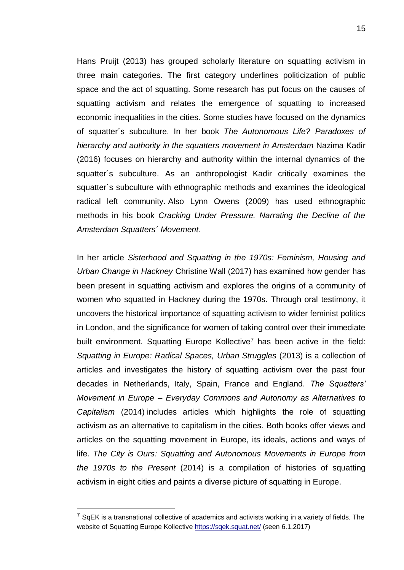Hans Pruijt (2013) has grouped scholarly literature on squatting activism in three main categories. The first category underlines politicization of public space and the act of squatting. Some research has put focus on the causes of squatting activism and relates the emergence of squatting to increased economic inequalities in the cities. Some studies have focused on the dynamics of squatter´s subculture. In her book *The Autonomous Life? Paradoxes of hierarchy and authority in the squatters movement in Amsterdam* Nazima Kadir (2016) focuses on hierarchy and authority within the internal dynamics of the squatter´s subculture. As an anthropologist Kadir critically examines the squatter´s subculture with ethnographic methods and examines the ideological radical left community. Also Lynn Owens (2009) has used ethnographic methods in his book *Cracking Under Pressure. Narrating the Decline of the Amsterdam Squatters´ Movement*.

In her article *Sisterhood and Squatting in the 1970s: Feminism, Housing and Urban Change in Hackney* Christine Wall (2017) has examined how gender has been present in squatting activism and explores the origins of a community of women who squatted in Hackney during the 1970s. Through oral testimony, it uncovers the historical importance of squatting activism to wider feminist politics in London, and the significance for women of taking control over their immediate built environment. Squatting Europe Kollective<sup>7</sup> has been active in the field: *Squatting in Europe: Radical Spaces, Urban Struggles* (2013) is a collection of articles and investigates the history of squatting activism over the past four decades in Netherlands, Italy, Spain, France and England. *The Squatters' Movement in Europe – Everyday Commons and Autonomy as Alternatives to Capitalism* (2014) includes articles which highlights the role of squatting activism as an alternative to capitalism in the cities. Both books offer views and articles on the squatting movement in Europe, its ideals, actions and ways of life. *The City is Ours: Squatting and Autonomous Movements in Europe from the 1970s to the Present* (2014) is a compilation of histories of squatting activism in eight cities and paints a diverse picture of squatting in Europe.

1

 $7$  SqEK is a transnational collective of academics and activists working in a variety of fields. The website of Squatting Europe Kollective<https://sqek.squat.net/> (seen 6.1.2017)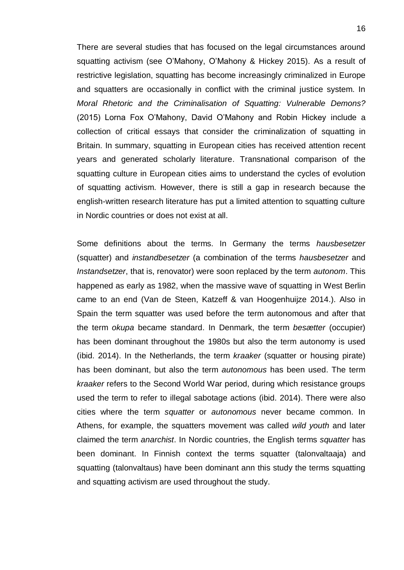There are several studies that has focused on the legal circumstances around squatting activism (see O'Mahony, O'Mahony & Hickey 2015). As a result of restrictive legislation, squatting has become increasingly criminalized in Europe and squatters are occasionally in conflict with the criminal justice system. In *Moral Rhetoric and the Criminalisation of Squatting: Vulnerable Demons?*  (2015) Lorna Fox O'Mahony, David O'Mahony and Robin Hickey include a collection of critical essays that consider the criminalization of squatting in Britain. In summary, squatting in European cities has received attention recent years and generated scholarly literature. Transnational comparison of the squatting culture in European cities aims to understand the cycles of evolution of squatting activism. However, there is still a gap in research because the english-written research literature has put a limited attention to squatting culture in Nordic countries or does not exist at all.

Some definitions about the terms. In Germany the terms *hausbesetzer* (squatter) and *instandbesetzer* (a combination of the terms *hausbesetzer* and *Instandsetzer*, that is, renovator) were soon replaced by the term *autonom*. This happened as early as 1982, when the massive wave of squatting in West Berlin came to an end (Van de Steen, Katzeff & van Hoogenhuijze 2014.). Also in Spain the term squatter was used before the term autonomous and after that the term *okupa* became standard. In Denmark, the term *besætter* (occupier) has been dominant throughout the 1980s but also the term autonomy is used (ibid. 2014). In the Netherlands, the term *kraaker* (squatter or housing pirate) has been dominant, but also the term *autonomous* has been used. The term *kraaker* refers to the Second World War period, during which resistance groups used the term to refer to illegal sabotage actions (ibid. 2014). There were also cities where the term *squatter* or *autonomous* never became common. In Athens, for example, the squatters movement was called *wild youth* and later claimed the term *anarchist*. In Nordic countries, the English terms *squatter* has been dominant. In Finnish context the terms squatter (talonvaltaaja) and squatting (talonvaltaus) have been dominant ann this study the terms squatting and squatting activism are used throughout the study.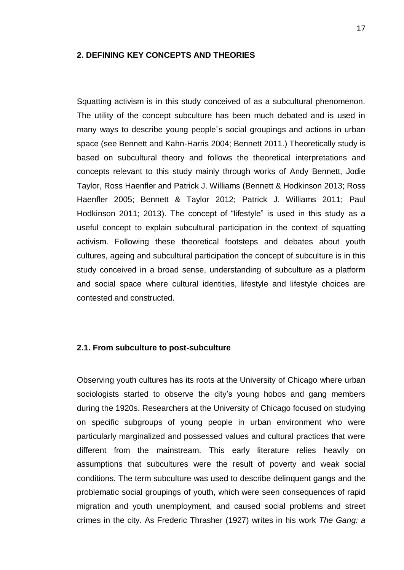#### <span id="page-16-0"></span>**2. DEFINING KEY CONCEPTS AND THEORIES**

Squatting activism is in this study conceived of as a subcultural phenomenon. The utility of the concept subculture has been much debated and is used in many ways to describe young people´s social groupings and actions in urban space (see Bennett and Kahn-Harris 2004; Bennett 2011.) Theoretically study is based on subcultural theory and follows the theoretical interpretations and concepts relevant to this study mainly through works of Andy Bennett, Jodie Taylor, Ross Haenfler and Patrick J. Williams (Bennett & Hodkinson 2013; Ross Haenfler 2005; Bennett & Taylor 2012; Patrick J. Williams 2011; Paul Hodkinson 2011; 2013). The concept of "lifestyle" is used in this study as a useful concept to explain subcultural participation in the context of squatting activism. Following these theoretical footsteps and debates about youth cultures, ageing and subcultural participation the concept of subculture is in this study conceived in a broad sense, understanding of subculture as a platform and social space where cultural identities, lifestyle and lifestyle choices are contested and constructed.

#### <span id="page-16-1"></span>**2.1. From subculture to post-subculture**

Observing youth cultures has its roots at the University of Chicago where urban sociologists started to observe the city's young hobos and gang members during the 1920s. Researchers at the University of Chicago focused on studying on specific subgroups of young people in urban environment who were particularly marginalized and possessed values and cultural practices that were different from the mainstream. This early literature relies heavily on assumptions that subcultures were the result of poverty and weak social conditions. The term subculture was used to describe delinquent gangs and the problematic social groupings of youth, which were seen consequences of rapid migration and youth unemployment, and caused social problems and street crimes in the city. As Frederic Thrasher (1927) writes in his work *The Gang: a*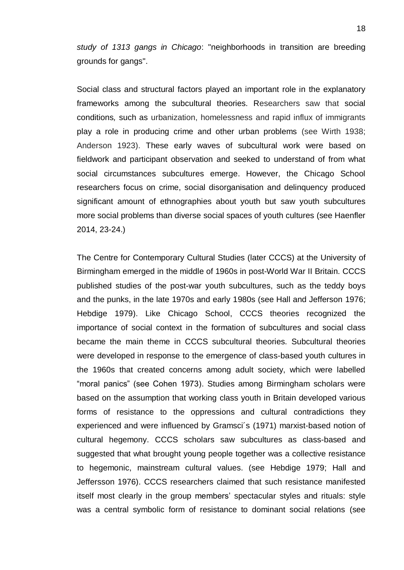*study of 1313 gangs in Chicago*: "neighborhoods in transition are breeding grounds for gangs".

Social class and structural factors played an important role in the explanatory frameworks among the subcultural theories. Researchers saw that social conditions*,* such as urbanization, homelessness and rapid influx of immigrants play a role in producing crime and other urban problems (see Wirth 1938; Anderson 1923). These early waves of subcultural work were based on fieldwork and participant observation and seeked to understand of from what social circumstances subcultures emerge. However, the Chicago School researchers focus on crime, social disorganisation and delinquency produced significant amount of ethnographies about youth but saw youth subcultures more social problems than diverse social spaces of youth cultures (see Haenfler 2014, 23-24.)

The Centre for Contemporary Cultural Studies (later CCCS) at the University of Birmingham emerged in the middle of 1960s in post-World War II Britain. CCCS published studies of the post-war youth subcultures, such as the teddy boys and the punks, in the late 1970s and early 1980s (see Hall and Jefferson 1976; Hebdige 1979). Like Chicago School, CCCS theories recognized the importance of social context in the formation of subcultures and social class became the main theme in CCCS subcultural theories. Subcultural theories were developed in response to the emergence of class-based youth cultures in the 1960s that created concerns among adult society, which were labelled "moral panics" (see Cohen 1973). Studies among Birmingham scholars were based on the assumption that working class youth in Britain developed various forms of resistance to the oppressions and cultural contradictions they experienced and were influenced by Gramsci´s (1971) marxist-based notion of cultural hegemony. CCCS scholars saw subcultures as class-based and suggested that what brought young people together was a collective resistance to hegemonic, mainstream cultural values. (see Hebdige 1979; Hall and Jeffersson 1976). CCCS researchers claimed that such resistance manifested itself most clearly in the group members' spectacular styles and rituals: style was a central symbolic form of resistance to dominant social relations (see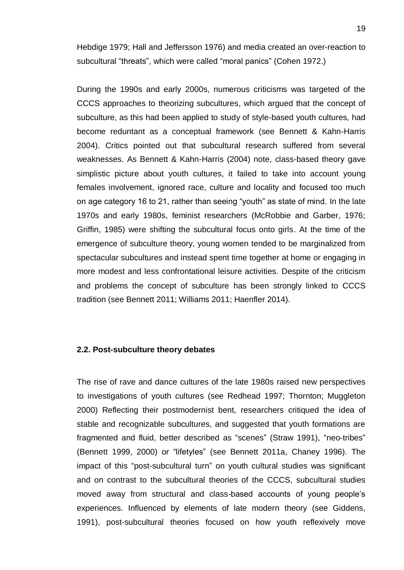Hebdige 1979; Hall and Jeffersson 1976) and media created an over-reaction to subcultural "threats", which were called "moral panics" (Cohen 1972.)

During the 1990s and early 2000s, numerous criticisms was targeted of the CCCS approaches to theorizing subcultures, which argued that the concept of subculture, as this had been applied to study of style-based youth cultures, had become reduntant as a conceptual framework (see Bennett & Kahn-Harris 2004). Critics pointed out that subcultural research suffered from several weaknesses. As Bennett & Kahn-Harris (2004) note, class-based theory gave simplistic picture about youth cultures, it failed to take into account young females involvement, ignored race, culture and locality and focused too much on age category 16 to 21, rather than seeing "youth" as state of mind. In the late 1970s and early 1980s, feminist researchers (McRobbie and Garber, 1976; Griffin, 1985) were shifting the subcultural focus onto girls. At the time of the emergence of subculture theory, young women tended to be marginalized from spectacular subcultures and instead spent time together at home or engaging in more modest and less confrontational leisure activities. Despite of the criticism and problems the concept of subculture has been strongly linked to CCCS tradition (see Bennett 2011; Williams 2011; Haenfler 2014).

#### <span id="page-18-0"></span>**2.2. Post-subculture theory debates**

The rise of rave and dance cultures of the late 1980s raised new perspectives to investigations of youth cultures (see Redhead 1997; Thornton; Muggleton 2000) Reflecting their postmodernist bent, researchers critiqued the idea of stable and recognizable subcultures, and suggested that youth formations are fragmented and fluid, better described as "scenes" (Straw 1991), "neo-tribes" (Bennett 1999, 2000) or "lifetyles" (see Bennett 2011a, Chaney 1996). The impact of this "post-subcultural turn" on youth cultural studies was significant and on contrast to the subcultural theories of the CCCS, subcultural studies moved away from structural and class-based accounts of young people's experiences. Influenced by elements of late modern theory (see Giddens, 1991), post-subcultural theories focused on how youth reflexively move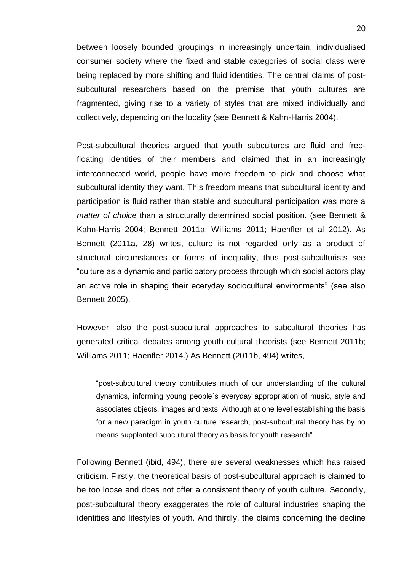between loosely bounded groupings in increasingly uncertain, individualised consumer society where the fixed and stable categories of social class were being replaced by more shifting and fluid identities. The central claims of postsubcultural researchers based on the premise that youth cultures are fragmented, giving rise to a variety of styles that are mixed individually and collectively, depending on the locality (see Bennett & Kahn-Harris 2004).

Post-subcultural theories argued that youth subcultures are fluid and freefloating identities of their members and claimed that in an increasingly interconnected world, people have more freedom to pick and choose what subcultural identity they want. This freedom means that subcultural identity and participation is fluid rather than stable and subcultural participation was more a *matter of choice* than a structurally determined social position. (see Bennett & Kahn-Harris 2004; Bennett 2011a; Williams 2011; Haenfler et al 2012). As Bennett (2011a, 28) writes, culture is not regarded only as a product of structural circumstances or forms of inequality, thus post-subculturists see "culture as a dynamic and participatory process through which social actors play an active role in shaping their eceryday sociocultural environments" (see also Bennett 2005).

However, also the post-subcultural approaches to subcultural theories has generated critical debates among youth cultural theorists (see Bennett 2011b; Williams 2011; Haenfler 2014.) As Bennett (2011b, 494) writes,

"post-subcultural theory contributes much of our understanding of the cultural dynamics, informing young people´s everyday appropriation of music, style and associates objects, images and texts. Although at one level establishing the basis for a new paradigm in youth culture research, post-subcultural theory has by no means supplanted subcultural theory as basis for youth research".

Following Bennett (ibid, 494), there are several weaknesses which has raised criticism. Firstly, the theoretical basis of post-subcultural approach is claimed to be too loose and does not offer a consistent theory of youth culture. Secondly, post-subcultural theory exaggerates the role of cultural industries shaping the identities and lifestyles of youth. And thirdly, the claims concerning the decline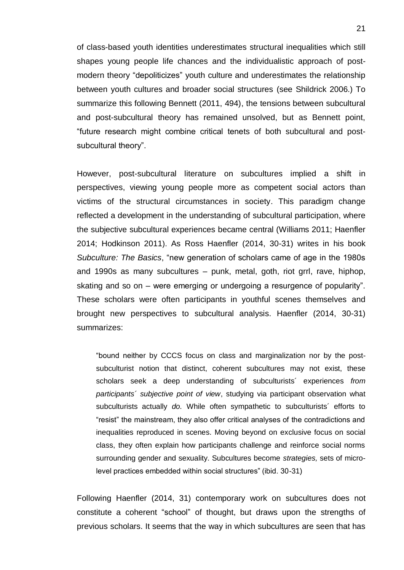of class-based youth identities underestimates structural inequalities which still shapes young people life chances and the individualistic approach of postmodern theory "depoliticizes" youth culture and underestimates the relationship between youth cultures and broader social structures (see Shildrick 2006.) To summarize this following Bennett (2011, 494), the tensions between subcultural and post-subcultural theory has remained unsolved, but as Bennett point, "future research might combine critical tenets of both subcultural and postsubcultural theory".

However, post-subcultural literature on subcultures implied a shift in perspectives, viewing young people more as competent social actors than victims of the structural circumstances in society. This paradigm change reflected a development in the understanding of subcultural participation, where the subjective subcultural experiences became central (Williams 2011; Haenfler 2014; Hodkinson 2011). As Ross Haenfler (2014, 30-31) writes in his book *Subculture: The Basics*, "new generation of scholars came of age in the 1980s and 1990s as many subcultures – punk, metal, goth, riot grrl, rave, hiphop, skating and so on – were emerging or undergoing a resurgence of popularity". These scholars were often participants in youthful scenes themselves and brought new perspectives to subcultural analysis. Haenfler (2014, 30-31) summarizes:

"bound neither by CCCS focus on class and marginalization nor by the postsubculturist notion that distinct, coherent subcultures may not exist, these scholars seek a deep understanding of subculturists´ experiences *from participants´ subjective point of view*, studying via participant observation what subculturists actually *do.* While often sympathetic to subculturists´ efforts to "resist" the mainstream, they also offer critical analyses of the contradictions and inequalities reproduced in scenes. Moving beyond on exclusive focus on social class, they often explain how participants challenge and reinforce social norms surrounding gender and sexuality. Subcultures become *strategies,* sets of microlevel practices embedded within social structures" (ibid. 30-31)

Following Haenfler (2014, 31) contemporary work on subcultures does not constitute a coherent "school" of thought, but draws upon the strengths of previous scholars. It seems that the way in which subcultures are seen that has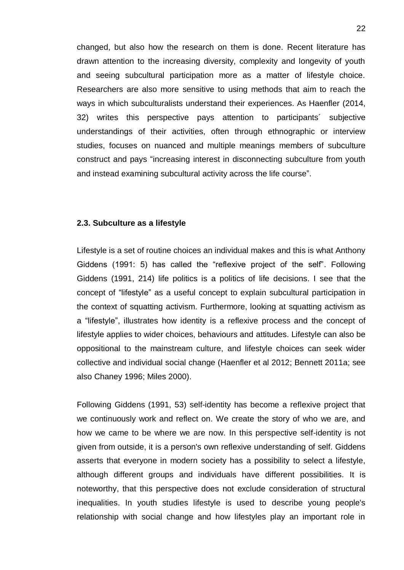changed, but also how the research on them is done. Recent literature has drawn attention to the increasing diversity, complexity and longevity of youth and seeing subcultural participation more as a matter of lifestyle choice. Researchers are also more sensitive to using methods that aim to reach the ways in which subculturalists understand their experiences. As Haenfler (2014, 32) writes this perspective pays attention to participants´ subjective understandings of their activities, often through ethnographic or interview studies, focuses on nuanced and multiple meanings members of subculture construct and pays "increasing interest in disconnecting subculture from youth and instead examining subcultural activity across the life course".

#### <span id="page-21-0"></span>**2.3. Subculture as a lifestyle**

Lifestyle is a set of routine choices an individual makes and this is what Anthony Giddens (1991: 5) has called the "reflexive project of the self". Following Giddens (1991, 214) life politics is a politics of life decisions. I see that the concept of "lifestyle" as a useful concept to explain subcultural participation in the context of squatting activism. Furthermore, looking at squatting activism as a "lifestyle", illustrates how identity is a reflexive process and the concept of lifestyle applies to wider choices, behaviours and attitudes. Lifestyle can also be oppositional to the mainstream culture, and lifestyle choices can seek wider collective and individual social change (Haenfler et al 2012; Bennett 2011a; see also Chaney 1996; Miles 2000).

Following Giddens (1991, 53) self-identity has become a reflexive project that we continuously work and reflect on. We create the story of who we are, and how we came to be where we are now. In this perspective self-identity is not given from outside, it is a person's own reflexive understanding of self. Giddens asserts that everyone in modern society has a possibility to select a lifestyle, although different groups and individuals have different possibilities. It is noteworthy, that this perspective does not exclude consideration of structural inequalities. In youth studies lifestyle is used to describe young people's relationship with social change and how lifestyles play an important role in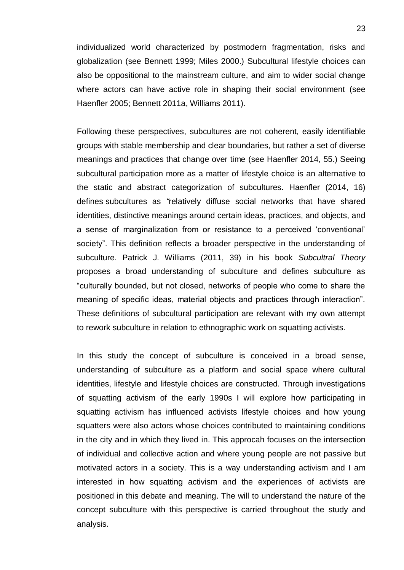individualized world characterized by postmodern fragmentation, risks and globalization (see Bennett 1999; Miles 2000.) Subcultural lifestyle choices can also be oppositional to the mainstream culture, and aim to wider social change where actors can have active role in shaping their social environment (see Haenfler 2005; Bennett 2011a, Williams 2011).

Following these perspectives, subcultures are not coherent, easily identifiable groups with stable membership and clear boundaries, but rather a set of diverse meanings and practices that change over time (see Haenfler 2014, 55.) Seeing subcultural participation more as a matter of lifestyle choice is an alternative to the static and abstract categorization of subcultures. Haenfler (2014, 16) defines subcultures as *"*relatively diffuse social networks that have shared identities, distinctive meanings around certain ideas, practices, and objects, and a sense of marginalization from or resistance to a perceived 'conventional' society". This definition reflects a broader perspective in the understanding of subculture. Patrick J. Williams (2011, 39) in his book *Subcultral Theory* proposes a broad understanding of subculture and defines subculture as "culturally bounded, but not closed, networks of people who come to share the meaning of specific ideas, material objects and practices through interaction". These definitions of subcultural participation are relevant with my own attempt to rework subculture in relation to ethnographic work on squatting activists.

In this study the concept of subculture is conceived in a broad sense, understanding of subculture as a platform and social space where cultural identities, lifestyle and lifestyle choices are constructed*.* Through investigations of squatting activism of the early 1990s I will explore how participating in squatting activism has influenced activists lifestyle choices and how young squatters were also actors whose choices contributed to maintaining conditions in the city and in which they lived in. This approcah focuses on the intersection of individual and collective action and where young people are not passive but motivated actors in a society. This is a way understanding activism and I am interested in how squatting activism and the experiences of activists are positioned in this debate and meaning. The will to understand the nature of the concept subculture with this perspective is carried throughout the study and analysis.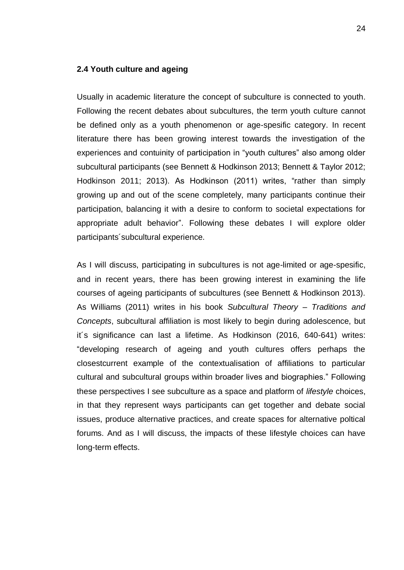#### <span id="page-23-0"></span>**2.4 Youth culture and ageing**

Usually in academic literature the concept of subculture is connected to youth. Following the recent debates about subcultures, the term youth culture cannot be defined only as a youth phenomenon or age-spesific category. In recent literature there has been growing interest towards the investigation of the experiences and contuinity of participation in "youth cultures" also among older subcultural participants (see Bennett & Hodkinson 2013; Bennett & Taylor 2012; Hodkinson 2011; 2013). As Hodkinson (2011) writes, "rather than simply growing up and out of the scene completely, many participants continue their participation, balancing it with a desire to conform to societal expectations for appropriate adult behavior". Following these debates I will explore older participants´subcultural experience.

As I will discuss, participating in subcultures is not age-limited or age-spesific, and in recent years, there has been growing interest in examining the life courses of ageing participants of subcultures (see Bennett & Hodkinson 2013). As Williams (2011) writes in his book *Subcultural Theory – Traditions and Concepts*, subcultural affiliation is most likely to begin during adolescence, but it´s significance can last a lifetime. As Hodkinson (2016, 640-641) writes: "developing research of ageing and youth cultures offers perhaps the closestcurrent example of the contextualisation of affiliations to particular cultural and subcultural groups within broader lives and biographies." Following these perspectives I see subculture as a space and platform of *lifestyle* choices, in that they represent ways participants can get together and debate social issues, produce alternative practices, and create spaces for alternative poltical forums. And as I will discuss, the impacts of these lifestyle choices can have long-term effects.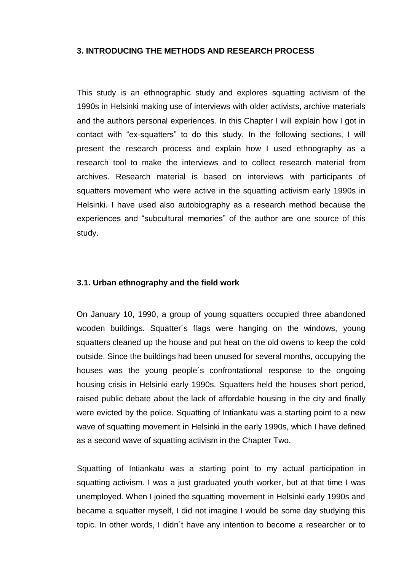### <span id="page-24-0"></span>**3. INTRODUCING THE METHODS AND RESEARCH PROCESS**

This study is an ethnographic study and explores squatting activism of the 1990s in Helsinki making use of interviews with older activists, archive materials and the authors personal experiences. In this Chapter I will explain how I got in contact with "ex-squatters" to do this study. In the following sections, I will present the research process and explain how I used ethnography as a research tool to make the interviews and to collect research material from archives. Research material is based on interviews with participants of squatters movement who were active in the squatting activism early 1990s in Helsinki. I have used also autobiography as a research method because the experiences and "subcultural memories" of the author are one source of this study.

#### <span id="page-24-1"></span>**3.1. Urban ethnography and the field work**

On January 10, 1990, a group of young squatters occupied three abandoned wooden buildings. Squatter´s flags were hanging on the windows, young squatters cleaned up the house and put heat on the old owens to keep the cold outside. Since the buildings had been unused for several months, occupying the houses was the young people´s confrontational response to the ongoing housing crisis in Helsinki early 1990s. Squatters held the houses short period, raised public debate about the lack of affordable housing in the city and finally were evicted by the police. Squatting of Intiankatu was a starting point to a new wave of squatting movement in Helsinki in the early 1990s, which I have defined as a second wave of squatting activism in the Chapter Two.

Squatting of Intiankatu was a starting point to my actual participation in squatting activism. I was a just graduated youth worker, but at that time I was unemployed. When I joined the squatting movement in Helsinki early 1990s and became a squatter myself, I did not imagine I would be some day studying this topic. In other words, I didn´t have any intention to become a researcher or to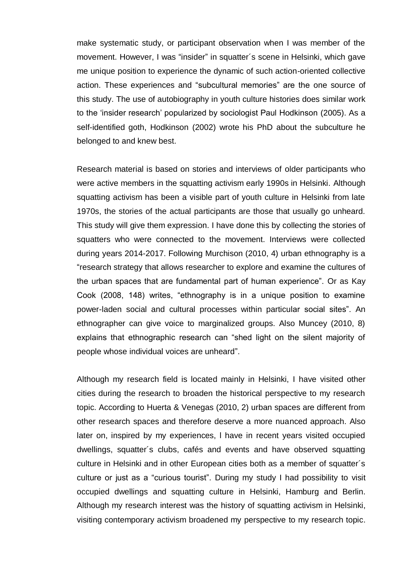make systematic study, or participant observation when I was member of the movement. However, I was "insider" in squatter´s scene in Helsinki, which gave me unique position to experience the dynamic of such action-oriented collective action. These experiences and "subcultural memories" are the one source of this study. The use of autobiography in youth culture histories does similar work to the 'insider research' popularized by sociologist Paul Hodkinson (2005). As a self-identified goth, Hodkinson (2002) wrote his PhD about the subculture he belonged to and knew best.

Research material is based on stories and interviews of older participants who were active members in the squatting activism early 1990s in Helsinki. Although squatting activism has been a visible part of youth culture in Helsinki from late 1970s, the stories of the actual participants are those that usually go unheard. This study will give them expression. I have done this by collecting the stories of squatters who were connected to the movement. Interviews were collected during years 2014-2017. Following Murchison (2010, 4) urban ethnography is a "research strategy that allows researcher to explore and examine the cultures of the urban spaces that are fundamental part of human experience". Or as Kay Cook (2008, 148) writes, "ethnography is in a unique position to examine power-laden social and cultural processes within particular social sites". An ethnographer can give voice to marginalized groups. Also Muncey (2010, 8) explains that ethnographic research can "shed light on the silent majority of people whose individual voices are unheard".

Although my research field is located mainly in Helsinki, I have visited other cities during the research to broaden the historical perspective to my research topic. According to Huerta & Venegas (2010, 2) urban spaces are different from other research spaces and therefore deserve a more nuanced approach. Also later on, inspired by my experiences, l have in recent years visited occupied dwellings, squatter´s clubs, cafés and events and have observed squatting culture in Helsinki and in other European cities both as a member of squatter´s culture or just as a "curious tourist". During my study I had possibility to visit occupied dwellings and squatting culture in Helsinki, Hamburg and Berlin. Although my research interest was the history of squatting activism in Helsinki, visiting contemporary activism broadened my perspective to my research topic.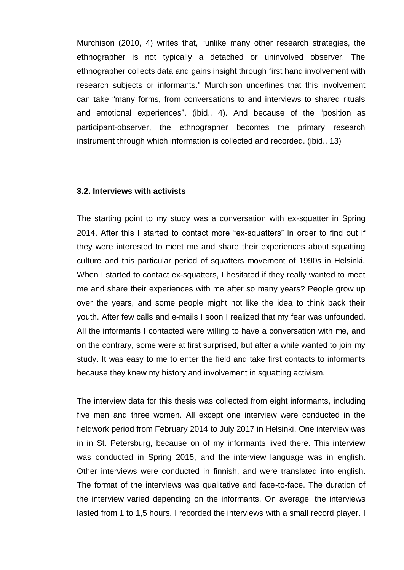Murchison (2010, 4) writes that, "unlike many other research strategies, the ethnographer is not typically a detached or uninvolved observer. The ethnographer collects data and gains insight through first hand involvement with research subjects or informants." Murchison underlines that this involvement can take "many forms, from conversations to and interviews to shared rituals and emotional experiences". (ibid., 4). And because of the "position as participant-observer, the ethnographer becomes the primary research instrument through which information is collected and recorded. (ibid., 13)

#### <span id="page-26-0"></span>**3.2. Interviews with activists**

The starting point to my study was a conversation with ex-squatter in Spring 2014. After this I started to contact more "ex-squatters" in order to find out if they were interested to meet me and share their experiences about squatting culture and this particular period of squatters movement of 1990s in Helsinki. When I started to contact ex-squatters, I hesitated if they really wanted to meet me and share their experiences with me after so many years? People grow up over the years, and some people might not like the idea to think back their youth. After few calls and e-mails I soon I realized that my fear was unfounded. All the informants I contacted were willing to have a conversation with me, and on the contrary, some were at first surprised, but after a while wanted to join my study. It was easy to me to enter the field and take first contacts to informants because they knew my history and involvement in squatting activism.

The interview data for this thesis was collected from eight informants, including five men and three women. All except one interview were conducted in the fieldwork period from February 2014 to July 2017 in Helsinki. One interview was in in St. Petersburg, because on of my informants lived there. This interview was conducted in Spring 2015, and the interview language was in english. Other interviews were conducted in finnish, and were translated into english. The format of the interviews was qualitative and face-to-face. The duration of the interview varied depending on the informants. On average, the interviews lasted from 1 to 1,5 hours. I recorded the interviews with a small record player. I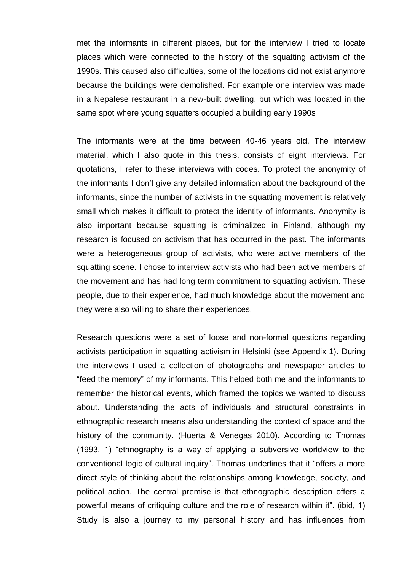met the informants in different places, but for the interview I tried to locate places which were connected to the history of the squatting activism of the 1990s. This caused also difficulties, some of the locations did not exist anymore because the buildings were demolished. For example one interview was made in a Nepalese restaurant in a new-built dwelling, but which was located in the same spot where young squatters occupied a building early 1990s

The informants were at the time between 40-46 years old. The interview material, which I also quote in this thesis, consists of eight interviews. For quotations, I refer to these interviews with codes. To protect the anonymity of the informants I don't give any detailed information about the background of the informants, since the number of activists in the squatting movement is relatively small which makes it difficult to protect the identity of informants. Anonymity is also important because squatting is criminalized in Finland, although my research is focused on activism that has occurred in the past. The informants were a heterogeneous group of activists, who were active members of the squatting scene. I chose to interview activists who had been active members of the movement and has had long term commitment to squatting activism. These people, due to their experience, had much knowledge about the movement and they were also willing to share their experiences.

Research questions were a set of loose and non-formal questions regarding activists participation in squatting activism in Helsinki (see Appendix 1). During the interviews I used a collection of photographs and newspaper articles to "feed the memory" of my informants. This helped both me and the informants to remember the historical events, which framed the topics we wanted to discuss about. Understanding the acts of individuals and structural constraints in ethnographic research means also understanding the context of space and the history of the community. (Huerta & Venegas 2010). According to Thomas (1993, 1) "ethnography is a way of applying a subversive worldview to the conventional logic of cultural inquiry". Thomas underlines that it "offers a more direct style of thinking about the relationships among knowledge, society, and political action. The central premise is that ethnographic description offers a powerful means of critiquing culture and the role of research within it". (ibid, 1) Study is also a journey to my personal history and has influences from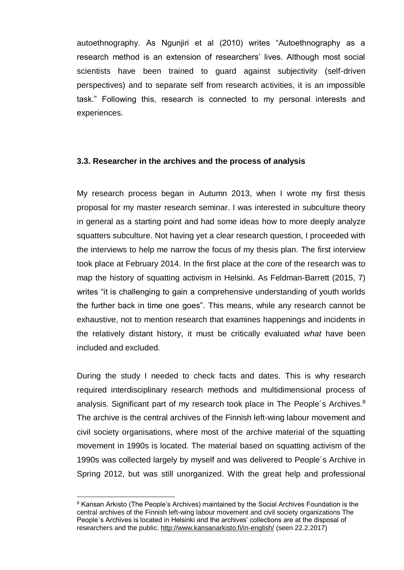autoethnography. As Ngunjiri et al (2010) writes "Autoethnography as a research method is an extension of researchers' lives. Although most social scientists have been trained to guard against subjectivity (self-driven perspectives) and to separate self from research activities, it is an impossible task." Following this, research is connected to my personal interests and experiences.

## <span id="page-28-0"></span>**3.3. Researcher in the archives and the process of analysis**

My research process began in Autumn 2013, when I wrote my first thesis proposal for my master research seminar. I was interested in subculture theory in general as a starting point and had some ideas how to more deeply analyze squatters subculture. Not having yet a clear research question, I proceeded with the interviews to help me narrow the focus of my thesis plan. The first interview took place at February 2014. In the first place at the core of the research was to map the history of squatting activism in Helsinki. As Feldman-Barrett (2015, 7) writes "it is challenging to gain a comprehensive understanding of youth worlds the further back in time one goes". This means, while any research cannot be exhaustive, not to mention research that examines happenings and incidents in the relatively distant history, it must be critically evaluated *what* have been included and excluded.

During the study I needed to check facts and dates. This is why research required interdisciplinary research methods and multidimensional process of analysis. Significant part of my research took place in The People's Archives.<sup>8</sup> The archive is the central archives of the Finnish left-wing labour movement and civil society organisations, where most of the archive material of the squatting movement in 1990s is located. The material based on squatting activism of the 1990s was collected largely by myself and was delivered to People´s Archive in Spring 2012, but was still unorganized. With the great help and professional

1

<sup>&</sup>lt;sup>8</sup> Kansan Arkisto (The People's Archives) maintained by the Social Archives Foundation is the central archives of the Finnish left-wing labour movement and civil society organizations The People's Archives is located in Helsinki and the archives' collections are at the disposal of researchers and the public. <http://www.kansanarkisto.fi/in-english/> (seen 22.2.2017)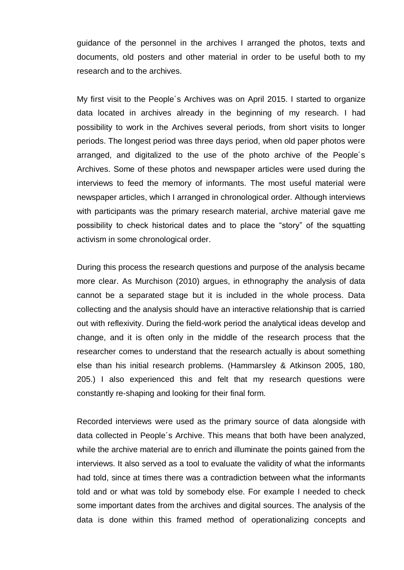guidance of the personnel in the archives I arranged the photos, texts and documents, old posters and other material in order to be useful both to my research and to the archives.

My first visit to the People´s Archives was on April 2015. I started to organize data located in archives already in the beginning of my research. I had possibility to work in the Archives several periods, from short visits to longer periods. The longest period was three days period, when old paper photos were arranged, and digitalized to the use of the photo archive of the People´s Archives. Some of these photos and newspaper articles were used during the interviews to feed the memory of informants. The most useful material were newspaper articles, which I arranged in chronological order. Although interviews with participants was the primary research material, archive material gave me possibility to check historical dates and to place the "story" of the squatting activism in some chronological order.

During this process the research questions and purpose of the analysis became more clear. As Murchison (2010) argues, in ethnography the analysis of data cannot be a separated stage but it is included in the whole process. Data collecting and the analysis should have an interactive relationship that is carried out with reflexivity. During the field-work period the analytical ideas develop and change, and it is often only in the middle of the research process that the researcher comes to understand that the research actually is about something else than his initial research problems. (Hammarsley & Atkinson 2005, 180, 205.) I also experienced this and felt that my research questions were constantly re-shaping and looking for their final form.

Recorded interviews were used as the primary source of data alongside with data collected in People´s Archive. This means that both have been analyzed, while the archive material are to enrich and illuminate the points gained from the interviews. It also served as a tool to evaluate the validity of what the informants had told, since at times there was a contradiction between what the informants told and or what was told by somebody else. For example I needed to check some important dates from the archives and digital sources. The analysis of the data is done within this framed method of operationalizing concepts and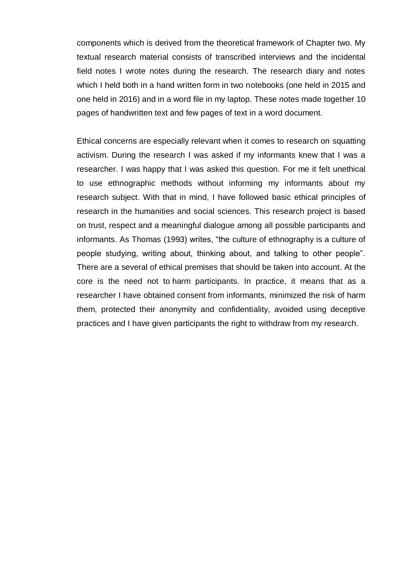components which is derived from the theoretical framework of Chapter two. My textual research material consists of transcribed interviews and the incidental field notes I wrote notes during the research. The research diary and notes which I held both in a hand written form in two notebooks (one held in 2015 and one held in 2016) and in a word file in my laptop. These notes made together 10 pages of handwritten text and few pages of text in a word document.

Ethical concerns are especially relevant when it comes to research on squatting activism. During the research I was asked if my informants knew that I was a researcher. I was happy that I was asked this question. For me it felt unethical to use ethnographic methods without informing my informants about my research subject. With that in mind, I have followed basic ethical principles of research in the humanities and social sciences. This research project is based on trust, respect and a meaningful dialogue among all possible participants and informants. As Thomas (1993) writes, "the culture of ethnography is a culture of people studying, writing about, thinking about, and talking to other people". There are a several of ethical premises that should be taken into account. At the core is the need not to harm participants. In practice, it means that as a researcher I have obtained consent from informants, minimized the risk of harm them, protected their anonymity and confidentiality, avoided using deceptive practices and I have given participants the right to withdraw from my research.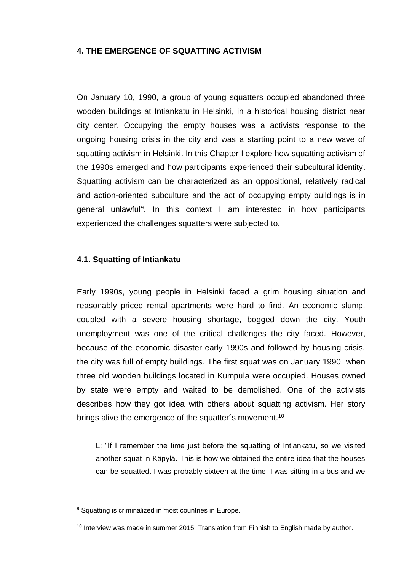## <span id="page-31-0"></span>**4. THE EMERGENCE OF SQUATTING ACTIVISM**

On January 10, 1990, a group of young squatters occupied abandoned three wooden buildings at Intiankatu in Helsinki, in a historical housing district near city center. Occupying the empty houses was a activists response to the ongoing housing crisis in the city and was a starting point to a new wave of squatting activism in Helsinki. In this Chapter I explore how squatting activism of the 1990s emerged and how participants experienced their subcultural identity. Squatting activism can be characterized as an oppositional, relatively radical and action-oriented subculture and the act of occupying empty buildings is in general unlawful<sup>9</sup>. In this context I am interested in how participants experienced the challenges squatters were subjected to.

### <span id="page-31-1"></span>**4.1. Squatting of Intiankatu**

Early 1990s, young people in Helsinki faced a grim housing situation and reasonably priced rental apartments were hard to find. An economic slump, coupled with a severe housing shortage, bogged down the city. Youth unemployment was one of the critical challenges the city faced. However, because of the economic disaster early 1990s and followed by housing crisis, the city was full of empty buildings. The first squat was on January 1990, when three old wooden buildings located in Kumpula were occupied. Houses owned by state were empty and waited to be demolished. One of the activists describes how they got idea with others about squatting activism. Her story brings alive the emergence of the squatter's movement.<sup>10</sup>

L: "If I remember the time just before the squatting of Intiankatu, so we visited another squat in Käpylä. This is how we obtained the entire idea that the houses can be squatted. I was probably sixteen at the time, I was sitting in a bus and we

1

<sup>&</sup>lt;sup>9</sup> Squatting is criminalized in most countries in Europe.

<sup>&</sup>lt;sup>10</sup> Interview was made in summer 2015. Translation from Finnish to English made by author.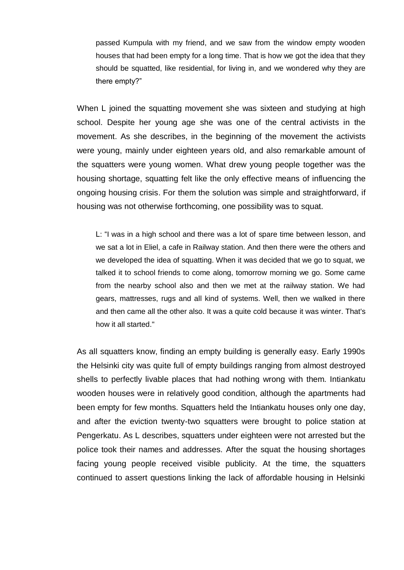passed Kumpula with my friend, and we saw from the window empty wooden houses that had been empty for a long time. That is how we got the idea that they should be squatted, like residential, for living in, and we wondered why they are there empty?"

When L joined the squatting movement she was sixteen and studying at high school. Despite her young age she was one of the central activists in the movement. As she describes, in the beginning of the movement the activists were young, mainly under eighteen years old, and also remarkable amount of the squatters were young women. What drew young people together was the housing shortage, squatting felt like the only effective means of influencing the ongoing housing crisis. For them the solution was simple and straightforward, if housing was not otherwise forthcoming, one possibility was to squat.

L: "I was in a high school and there was a lot of spare time between lesson, and we sat a lot in Eliel, a cafe in Railway station. And then there were the others and we developed the idea of squatting. When it was decided that we go to squat, we talked it to school friends to come along, tomorrow morning we go. Some came from the nearby school also and then we met at the railway station. We had gears, mattresses, rugs and all kind of systems. Well, then we walked in there and then came all the other also. It was a quite cold because it was winter. That's how it all started."

As all squatters know, finding an empty building is generally easy. Early 1990s the Helsinki city was quite full of empty buildings ranging from almost destroyed shells to perfectly livable places that had nothing wrong with them. Intiankatu wooden houses were in relatively good condition, although the apartments had been empty for few months. Squatters held the Intiankatu houses only one day, and after the eviction twenty-two squatters were brought to police station at Pengerkatu. As L describes, squatters under eighteen were not arrested but the police took their names and addresses. After the squat the housing shortages facing young people received visible publicity. At the time, the squatters continued to assert questions linking the lack of affordable housing in Helsinki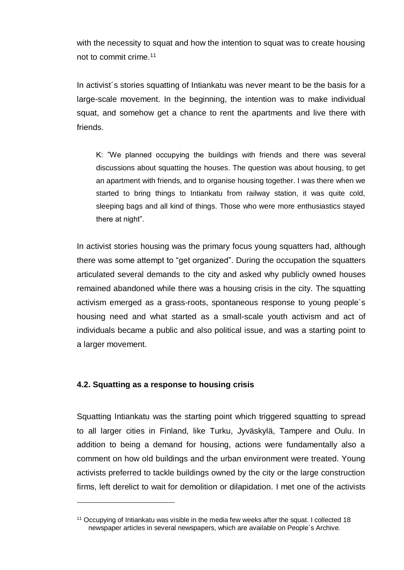with the necessity to squat and how the intention to squat was to create housing not to commit crime.<sup>11</sup>

In activist's stories squatting of Intiankatu was never meant to be the basis for a large-scale movement. In the beginning, the intention was to make individual squat, and somehow get a chance to rent the apartments and live there with friends.

K: "We planned occupying the buildings with friends and there was several discussions about squatting the houses. The question was about housing, to get an apartment with friends, and to organise housing together. I was there when we started to bring things to Intiankatu from railway station, it was quite cold, sleeping bags and all kind of things. Those who were more enthusiastics stayed there at night".

In activist stories housing was the primary focus young squatters had, although there was some attempt to "get organized". During the occupation the squatters articulated several demands to the city and asked why publicly owned houses remained abandoned while there was a housing crisis in the city. The squatting activism emerged as a grass-roots, spontaneous response to young people´s housing need and what started as a small-scale youth activism and act of individuals became a public and also political issue, and was a starting point to a larger movement.

## <span id="page-33-0"></span>**4.2. Squatting as a response to housing crisis**

1

Squatting Intiankatu was the starting point which triggered squatting to spread to all larger cities in Finland, like Turku, Jyväskylä, Tampere and Oulu. In addition to being a demand for housing, actions were fundamentally also a comment on how old buildings and the urban environment were treated. Young activists preferred to tackle buildings owned by the city or the large construction firms, left derelict to wait for demolition or dilapidation. I met one of the activists

<sup>&</sup>lt;sup>11</sup> Occupying of Intiankatu was visible in the media few weeks after the squat. I collected 18 newspaper articles in several newspapers, which are available on People´s Archive.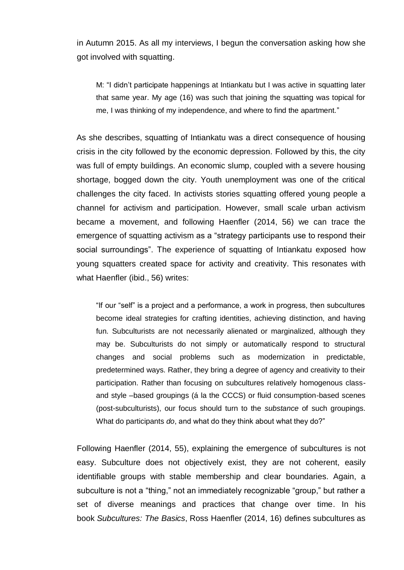in Autumn 2015. As all my interviews, I begun the conversation asking how she got involved with squatting.

M: "I didn't participate happenings at Intiankatu but I was active in squatting later that same year. My age (16) was such that joining the squatting was topical for me, I was thinking of my independence, and where to find the apartment."

As she describes, squatting of Intiankatu was a direct consequence of housing crisis in the city followed by the economic depression. Followed by this, the city was full of empty buildings. An economic slump, coupled with a severe housing shortage, bogged down the city. Youth unemployment was one of the critical challenges the city faced. In activists stories squatting offered young people a channel for activism and participation. However, small scale urban activism became a movement, and following Haenfler (2014, 56) we can trace the emergence of squatting activism as a "strategy participants use to respond their social surroundings". The experience of squatting of Intiankatu exposed how young squatters created space for activity and creativity. This resonates with what Haenfler (ibid., 56) writes:

"If our "self" is a project and a performance, a work in progress, then subcultures become ideal strategies for crafting identities, achieving distinction, and having fun. Subculturists are not necessarily alienated or marginalized, although they may be. Subculturists do not simply or automatically respond to structural changes and social problems such as modernization in predictable, predetermined ways. Rather, they bring a degree of agency and creativity to their participation. Rather than focusing on subcultures relatively homogenous classand style –based groupings (á la the CCCS) or fluid consumption-based scenes (post-subculturists), our focus should turn to the *substance* of such groupings. What do participants *do*, and what do they think about what they do?"

Following Haenfler (2014, 55), explaining the emergence of subcultures is not easy. Subculture does not objectively exist, they are not coherent, easily identifiable groups with stable membership and clear boundaries. Again, a subculture is not a "thing," not an immediately recognizable "group," but rather a set of diverse meanings and practices that change over time. In his book *Subcultures: The Basics*, Ross Haenfler (2014, 16) defines subcultures as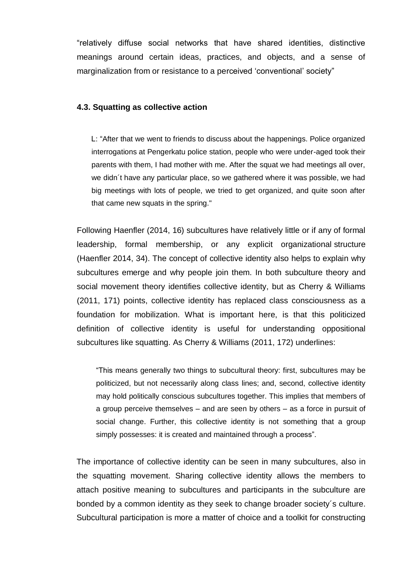"relatively diffuse social networks that have shared identities, distinctive meanings around certain ideas, practices, and objects, and a sense of marginalization from or resistance to a perceived 'conventional' society"

### <span id="page-35-0"></span>**4.3. Squatting as collective action**

L: "After that we went to friends to discuss about the happenings. Police organized interrogations at Pengerkatu police station, people who were under-aged took their parents with them, I had mother with me. After the squat we had meetings all over, we didn´t have any particular place, so we gathered where it was possible, we had big meetings with lots of people, we tried to get organized, and quite soon after that came new squats in the spring."

Following Haenfler (2014, 16) subcultures have relatively little or if any of formal leadership, formal membership, or any explicit organizational structure (Haenfler 2014, 34). The concept of collective identity also helps to explain why subcultures emerge and why people join them. In both subculture theory and social movement theory identifies collective identity, but as Cherry & Williams (2011, 171) points, collective identity has replaced class consciousness as a foundation for mobilization. What is important here, is that this politicized definition of collective identity is useful for understanding oppositional subcultures like squatting. As Cherry & Williams (2011, 172) underlines:

"This means generally two things to subcultural theory: first, subcultures may be politicized, but not necessarily along class lines; and, second, collective identity may hold politically conscious subcultures together. This implies that members of a group perceive themselves – and are seen by others – as a force in pursuit of social change. Further, this collective identity is not something that a group simply possesses: it is created and maintained through a process".

The importance of collective identity can be seen in many subcultures, also in the squatting movement. Sharing collective identity allows the members to attach positive meaning to subcultures and participants in the subculture are bonded by a common identity as they seek to change broader society´s culture. Subcultural participation is more a matter of choice and a toolkit for constructing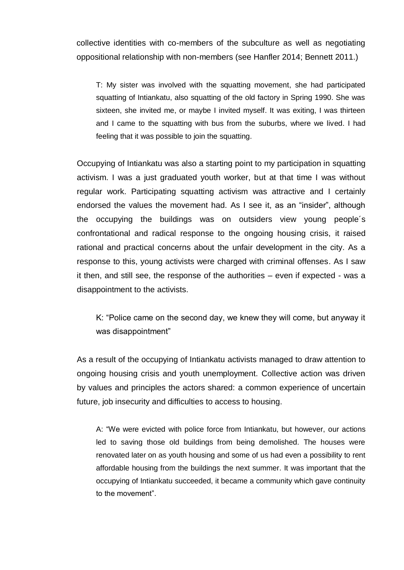collective identities with co-members of the subculture as well as negotiating oppositional relationship with non-members (see Hanfler 2014; Bennett 2011.)

T: My sister was involved with the squatting movement, she had participated squatting of Intiankatu, also squatting of the old factory in Spring 1990. She was sixteen, she invited me, or maybe I invited myself. It was exiting, I was thirteen and I came to the squatting with bus from the suburbs, where we lived. I had feeling that it was possible to join the squatting.

Occupying of Intiankatu was also a starting point to my participation in squatting activism. I was a just graduated youth worker, but at that time I was without regular work. Participating squatting activism was attractive and I certainly endorsed the values the movement had. As I see it, as an "insider", although the occupying the buildings was on outsiders view young people´s confrontational and radical response to the ongoing housing crisis, it raised rational and practical concerns about the unfair development in the city. As a response to this, young activists were charged with criminal offenses. As I saw it then, and still see, the response of the authorities – even if expected - was a disappointment to the activists.

K: "Police came on the second day, we knew they will come, but anyway it was disappointment"

As a result of the occupying of Intiankatu activists managed to draw attention to ongoing housing crisis and youth unemployment. Collective action was driven by values and principles the actors shared: a common experience of uncertain future, job insecurity and difficulties to access to housing.

A: "We were evicted with police force from Intiankatu, but however, our actions led to saving those old buildings from being demolished. The houses were renovated later on as youth housing and some of us had even a possibility to rent affordable housing from the buildings the next summer. It was important that the occupying of Intiankatu succeeded, it became a community which gave continuity to the movement".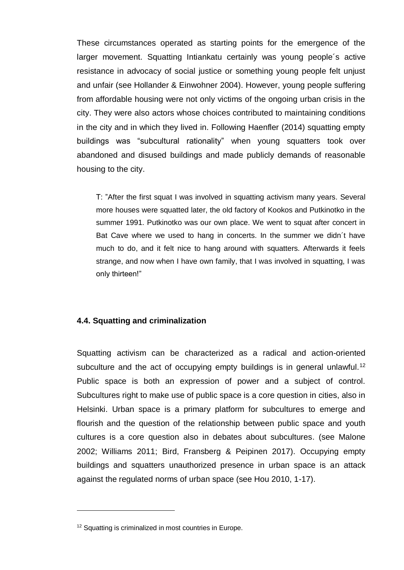These circumstances operated as starting points for the emergence of the larger movement. Squatting Intiankatu certainly was young people´s active resistance in advocacy of social justice or something young people felt unjust and unfair (see Hollander & Einwohner 2004). However, young people suffering from affordable housing were not only victims of the ongoing urban crisis in the city. They were also actors whose choices contributed to maintaining conditions in the city and in which they lived in. Following Haenfler (2014) squatting empty buildings was "subcultural rationality" when young squatters took over abandoned and disused buildings and made publicly demands of reasonable housing to the city.

T: "After the first squat I was involved in squatting activism many years. Several more houses were squatted later, the old factory of Kookos and Putkinotko in the summer 1991. Putkinotko was our own place. We went to squat after concert in Bat Cave where we used to hang in concerts. In the summer we didn´t have much to do, and it felt nice to hang around with squatters. Afterwards it feels strange, and now when I have own family, that I was involved in squatting, I was only thirteen!"

## <span id="page-37-0"></span>**4.4. Squatting and criminalization**

Squatting activism can be characterized as a radical and action-oriented subculture and the act of occupying empty buildings is in general unlawful.<sup>12</sup> Public space is both an expression of power and a subject of control. Subcultures right to make use of public space is a core question in cities, also in Helsinki. Urban space is a primary platform for subcultures to emerge and flourish and the question of the relationship between public space and youth cultures is a core question also in debates about subcultures. (see Malone 2002; Williams 2011; Bird, Fransberg & Peipinen 2017). Occupying empty buildings and squatters unauthorized presence in urban space is an attack against the regulated norms of urban space (see Hou 2010, 1-17).

1

<sup>&</sup>lt;sup>12</sup> Squatting is criminalized in most countries in Europe.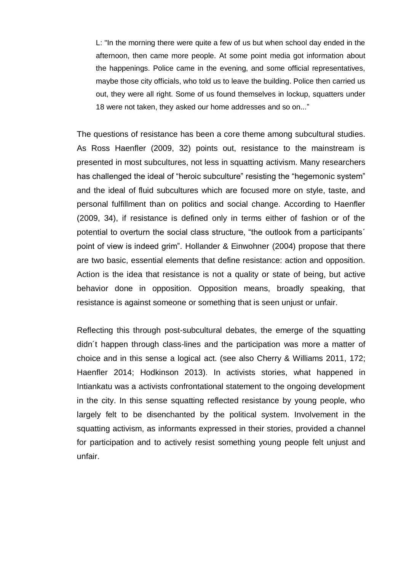L: "In the morning there were quite a few of us but when school day ended in the afternoon, then came more people. At some point media got information about the happenings. Police came in the evening, and some official representatives, maybe those city officials, who told us to leave the building. Police then carried us out, they were all right. Some of us found themselves in lockup, squatters under 18 were not taken, they asked our home addresses and so on..."

The questions of resistance has been a core theme among subcultural studies. As Ross Haenfler (2009, 32) points out, resistance to the mainstream is presented in most subcultures, not less in squatting activism. Many researchers has challenged the ideal of "heroic subculture" resisting the "hegemonic system" and the ideal of fluid subcultures which are focused more on style, taste, and personal fulfillment than on politics and social change. According to Haenfler (2009, 34), if resistance is defined only in terms either of fashion or of the potential to overturn the social class structure, "the outlook from a participants´ point of view is indeed grim". Hollander & Einwohner (2004) propose that there are two basic, essential elements that define resistance: action and opposition. Action is the idea that resistance is not a quality or state of being, but active behavior done in opposition. Opposition means, broadly speaking, that resistance is against someone or something that is seen unjust or unfair.

Reflecting this through post-subcultural debates, the emerge of the squatting didn´t happen through class-lines and the participation was more a matter of choice and in this sense a logical act. (see also Cherry & Williams 2011, 172; Haenfler 2014; Hodkinson 2013). In activists stories, what happened in Intiankatu was a activists confrontational statement to the ongoing development in the city. In this sense squatting reflected resistance by young people, who largely felt to be disenchanted by the political system. Involvement in the squatting activism, as informants expressed in their stories, provided a channel for participation and to actively resist something young people felt unjust and unfair.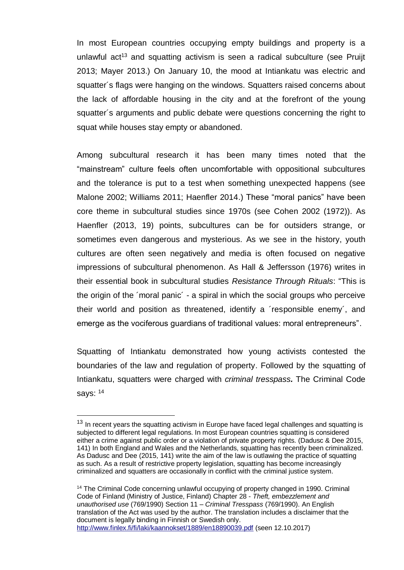In most European countries occupying empty buildings and property is a unlawful act<sup>13</sup> and squatting activism is seen a radical subculture (see Pruijt 2013; Mayer 2013.) On January 10, the mood at Intiankatu was electric and squatter´s flags were hanging on the windows. Squatters raised concerns about the lack of affordable housing in the city and at the forefront of the young squatter´s arguments and public debate were questions concerning the right to squat while houses stay empty or abandoned.

Among subcultural research it has been many times noted that the "mainstream" culture feels often uncomfortable with oppositional subcultures and the tolerance is put to a test when something unexpected happens (see Malone 2002; Williams 2011; Haenfler 2014.) These "moral panics" have been core theme in subcultural studies since 1970s (see Cohen 2002 (1972)). As Haenfler (2013, 19) points, subcultures can be for outsiders strange, or sometimes even dangerous and mysterious. As we see in the history, youth cultures are often seen negatively and media is often focused on negative impressions of subcultural phenomenon. As Hall & Jeffersson (1976) writes in their essential book in subcultural studies *Resistance Through Rituals*: "This is the origin of the ´moral panic´ - a spiral in which the social groups who perceive their world and position as threatened, identify a ´responsible enemy´, and emerge as the vociferous guardians of traditional values: moral entrepreneurs".

Squatting of Intiankatu demonstrated how young activists contested the boundaries of the law and regulation of property. Followed by the squatting of Intiankatu, squatters were charged with *criminal tresspass.* The Criminal Code says: <sup>14</sup>

1

 $13$  In recent years the squatting activism in Europe have faced legal challenges and squatting is subjected to different legal regulations. In most European countries squatting is considered either a crime against public order or a violation of private property rights. (Dadusc & Dee 2015, 141) In both England and Wales and the Netherlands, squatting has recently been criminalized. As Dadusc and Dee (2015, 141) write the aim of the law is outlawing the practice of squatting as such. As a result of restrictive property legislation, squatting has become increasingly criminalized and squatters are occasionally in conflict with the criminal justice system.

<sup>&</sup>lt;sup>14</sup> The Criminal Code concerning unlawful occupying of property changed in 1990. Criminal Code of Finland (Ministry of Justice, Finland) Chapter 28 - *Theft, embezzlement and unauthorised use* (769/1990) Section 11 – *Criminal Tresspass* (769/1990). An English translation of the Act was used by the author. The translation includes a disclaimer that the document is legally binding in Finnish or Swedish only. <http://www.finlex.fi/fi/laki/kaannokset/1889/en18890039.pdf> (seen 12.10.2017)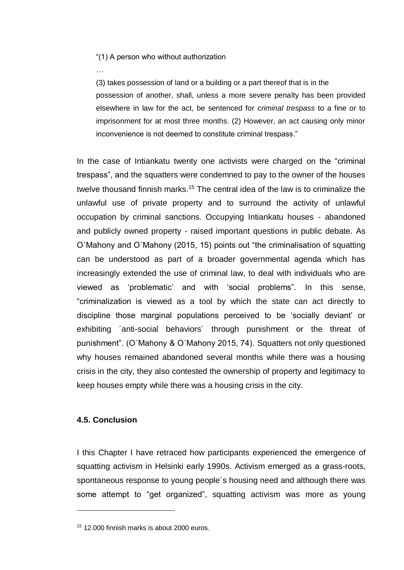"(1) A person who without authorization

…

(3) takes possession of land or a building or a part thereof that is in the possession of another, shall, unless a more severe penalty has been provided elsewhere in law for the act, be sentenced for *criminal trespass* to a fine or to imprisonment for at most three months. (2) However, an act causing only minor inconvenience is not deemed to constitute criminal trespass."

In the case of Intiankatu twenty one activists were charged on the "criminal trespass", and the squatters were condemned to pay to the owner of the houses twelve thousand finnish marks.<sup>15</sup> The central idea of the law is to criminalize the unlawful use of private property and to surround the activity of unlawful occupation by criminal sanctions. Occupying Intiankatu houses - abandoned and publicly owned property - raised important questions in public debate. As O´Mahony and O´Mahony (2015, 15) points out "the criminalisation of squatting can be understood as part of a broader governmental agenda which has increasingly extended the use of criminal law, to deal with individuals who are viewed as 'problematic' and with 'social problems". In this sense, "criminalization is viewed as a tool by which the state can act directly to discipline those marginal populations perceived to be 'socially deviant' or exhibiting ´anti-social behaviors´ through punishment or the threat of punishment". (O´Mahony & O´Mahony 2015, 74). Squatters not only questioned why houses remained abandoned several months while there was a housing crisis in the city, they also contested the ownership of property and legitimacy to keep houses empty while there was a housing crisis in the city.

# <span id="page-40-0"></span>**4.5. Conclusion**

1

I this Chapter I have retraced how participants experienced the emergence of squatting activism in Helsinki early 1990s. Activism emerged as a grass-roots, spontaneous response to young people´s housing need and although there was some attempt to "get organized", squatting activism was more as young

<sup>15</sup> 12.000 finnish marks is about 2000 euros.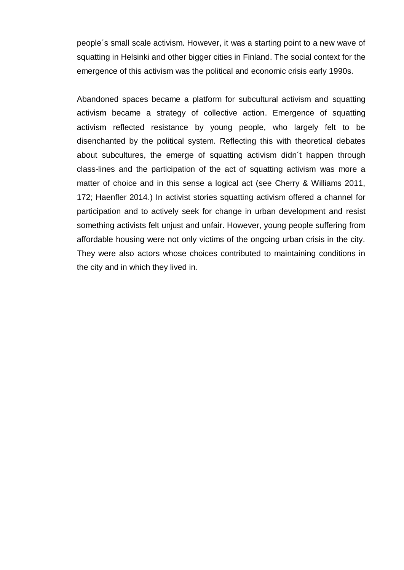people´s small scale activism. However, it was a starting point to a new wave of squatting in Helsinki and other bigger cities in Finland. The social context for the emergence of this activism was the political and economic crisis early 1990s.

Abandoned spaces became a platform for subcultural activism and squatting activism became a strategy of collective action. Emergence of squatting activism reflected resistance by young people, who largely felt to be disenchanted by the political system. Reflecting this with theoretical debates about subcultures, the emerge of squatting activism didn´t happen through class-lines and the participation of the act of squatting activism was more a matter of choice and in this sense a logical act (see Cherry & Williams 2011, 172; Haenfler 2014.) In activist stories squatting activism offered a channel for participation and to actively seek for change in urban development and resist something activists felt unjust and unfair. However, young people suffering from affordable housing were not only victims of the ongoing urban crisis in the city. They were also actors whose choices contributed to maintaining conditions in the city and in which they lived in.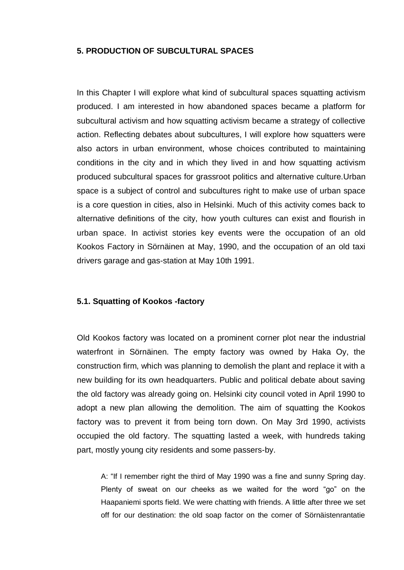## <span id="page-42-0"></span>**5. PRODUCTION OF SUBCULTURAL SPACES**

In this Chapter I will explore what kind of subcultural spaces squatting activism produced. I am interested in how abandoned spaces became a platform for subcultural activism and how squatting activism became a strategy of collective action. Reflecting debates about subcultures, I will explore how squatters were also actors in urban environment, whose choices contributed to maintaining conditions in the city and in which they lived in and how squatting activism produced subcultural spaces for grassroot politics and alternative culture.Urban space is a subject of control and subcultures right to make use of urban space is a core question in cities, also in Helsinki. Much of this activity comes back to alternative definitions of the city, how youth cultures can exist and flourish in urban space. In activist stories key events were the occupation of an old Kookos Factory in Sörnäinen at May, 1990, and the occupation of an old taxi drivers garage and gas-station at May 10th 1991.

### <span id="page-42-1"></span>**5.1. Squatting of Kookos -factory**

Old Kookos factory was located on a prominent corner plot near the industrial waterfront in Sörnäinen. The empty factory was owned by Haka Oy, the construction firm, which was planning to demolish the plant and replace it with a new building for its own headquarters. Public and political debate about saving the old factory was already going on. Helsinki city council voted in April 1990 to adopt a new plan allowing the demolition. The aim of squatting the Kookos factory was to prevent it from being torn down. On May 3rd 1990, activists occupied the old factory. The squatting lasted a week, with hundreds taking part, mostly young city residents and some passers-by.

A: "If I remember right the third of May 1990 was a fine and sunny Spring day. Plenty of sweat on our cheeks as we waited for the word "go" on the Haapaniemi sports field. We were chatting with friends. A little after three we set off for our destination: the old soap factor on the corner of Sörnäistenrantatie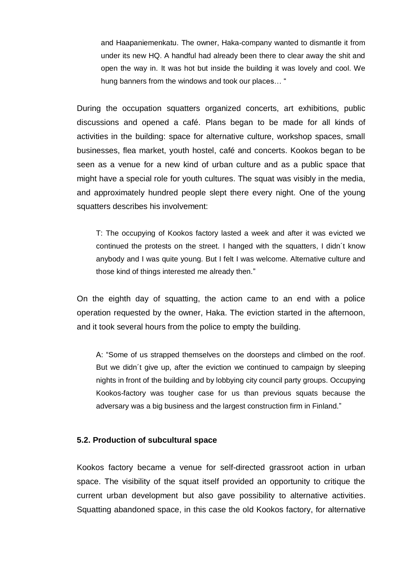and Haapaniemenkatu. The owner, Haka-company wanted to dismantle it from under its new HQ. A handful had already been there to clear away the shit and open the way in. It was hot but inside the building it was lovely and cool. We hung banners from the windows and took our places… "

During the occupation squatters organized concerts, art exhibitions, public discussions and opened a café. Plans began to be made for all kinds of activities in the building: space for alternative culture, workshop spaces, small businesses, flea market, youth hostel, café and concerts. Kookos began to be seen as a venue for a new kind of urban culture and as a public space that might have a special role for youth cultures. The squat was visibly in the media, and approximately hundred people slept there every night. One of the young squatters describes his involvement:

T: The occupying of Kookos factory lasted a week and after it was evicted we continued the protests on the street. I hanged with the squatters, I didn´t know anybody and I was quite young. But I felt I was welcome. Alternative culture and those kind of things interested me already then."

On the eighth day of squatting, the action came to an end with a police operation requested by the owner, Haka. The eviction started in the afternoon, and it took several hours from the police to empty the building.

A: "Some of us strapped themselves on the doorsteps and climbed on the roof. But we didn´t give up, after the eviction we continued to campaign by sleeping nights in front of the building and by lobbying city council party groups. Occupying Kookos-factory was tougher case for us than previous squats because the adversary was a big business and the largest construction firm in Finland."

#### <span id="page-43-0"></span>**5.2. Production of subcultural space**

Kookos factory became a venue for self-directed grassroot action in urban space. The visibility of the squat itself provided an opportunity to critique the current urban development but also gave possibility to alternative activities. Squatting abandoned space, in this case the old Kookos factory, for alternative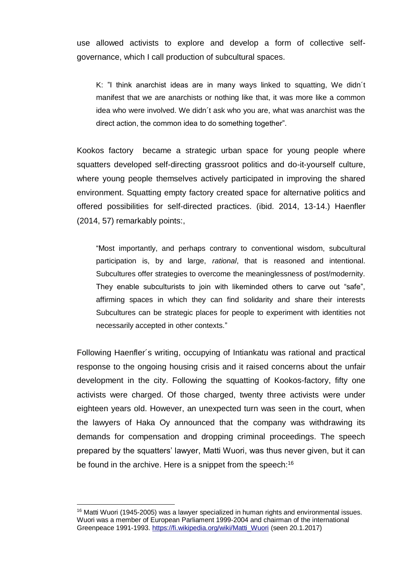use allowed activists to explore and develop a form of collective selfgovernance, which I call production of subcultural spaces.

K: "I think anarchist ideas are in many ways linked to squatting, We didn´t manifest that we are anarchists or nothing like that, it was more like a common idea who were involved. We didn´t ask who you are, what was anarchist was the direct action, the common idea to do something together".

Kookos factory became a strategic urban space for young people where squatters developed self-directing grassroot politics and do-it-yourself culture, where young people themselves actively participated in improving the shared environment. Squatting empty factory created space for alternative politics and offered possibilities for self-directed practices. (ibid. 2014, 13-14.) Haenfler (2014, 57) remarkably points:,

"Most importantly, and perhaps contrary to conventional wisdom, subcultural participation is, by and large, *rational*, that is reasoned and intentional. Subcultures offer strategies to overcome the meaninglessness of post/modernity. They enable subculturists to join with likeminded others to carve out "safe", affirming spaces in which they can find solidarity and share their interests Subcultures can be strategic places for people to experiment with identities not necessarily accepted in other contexts."

Following Haenfler´s writing, occupying of Intiankatu was rational and practical response to the ongoing housing crisis and it raised concerns about the unfair development in the city. Following the squatting of Kookos-factory, fifty one activists were charged. Of those charged, twenty three activists were under eighteen years old. However, an unexpected turn was seen in the court, when the lawyers of Haka Oy announced that the company was withdrawing its demands for compensation and dropping criminal proceedings. The speech prepared by the squatters' lawyer, Matti Wuori, was thus never given, but it can be found in the archive. Here is a snippet from the speech:<sup>16</sup>

1

<sup>&</sup>lt;sup>16</sup> Matti Wuori (1945-2005) was a lawyer specialized in human rights and environmental issues. Wuori was a member of European Parliament 1999-2004 and chairman of the international Greenpeace 1991-1993. [https://fi.wikipedia.org/wiki/Matti\\_Wuori](https://fi.wikipedia.org/wiki/Matti_Wuori) (seen 20.1.2017)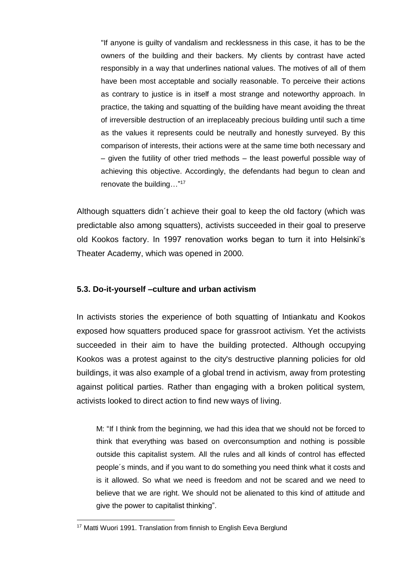"If anyone is guilty of vandalism and recklessness in this case, it has to be the owners of the building and their backers. My clients by contrast have acted responsibly in a way that underlines national values. The motives of all of them have been most acceptable and socially reasonable. To perceive their actions as contrary to justice is in itself a most strange and noteworthy approach. In practice, the taking and squatting of the building have meant avoiding the threat of irreversible destruction of an irreplaceably precious building until such a time as the values it represents could be neutrally and honestly surveyed. By this comparison of interests, their actions were at the same time both necessary and – given the futility of other tried methods – the least powerful possible way of achieving this objective. Accordingly, the defendants had begun to clean and renovate the building…" 17

Although squatters didn´t achieve their goal to keep the old factory (which was predictable also among squatters), activists succeeded in their goal to preserve old Kookos factory. In 1997 renovation works began to turn it into Helsinki's Theater Academy, which was opened in 2000.

# <span id="page-45-0"></span>**5.3. Do-it-yourself –culture and urban activism**

In activists stories the experience of both squatting of Intiankatu and Kookos exposed how squatters produced space for grassroot activism. Yet the activists succeeded in their aim to have the building protected. Although occupying Kookos was a protest against to the city's destructive planning policies for old buildings, it was also example of a global trend in activism, away from protesting against political parties. Rather than engaging with a broken political system, activists looked to direct action to find new ways of living.

M: "If I think from the beginning, we had this idea that we should not be forced to think that everything was based on overconsumption and nothing is possible outside this capitalist system. All the rules and all kinds of control has effected people´s minds, and if you want to do something you need think what it costs and is it allowed. So what we need is freedom and not be scared and we need to believe that we are right. We should not be alienated to this kind of attitude and give the power to capitalist thinking".

<u>.</u>

<sup>&</sup>lt;sup>17</sup> Matti Wuori 1991. Translation from finnish to English Eeva Berglund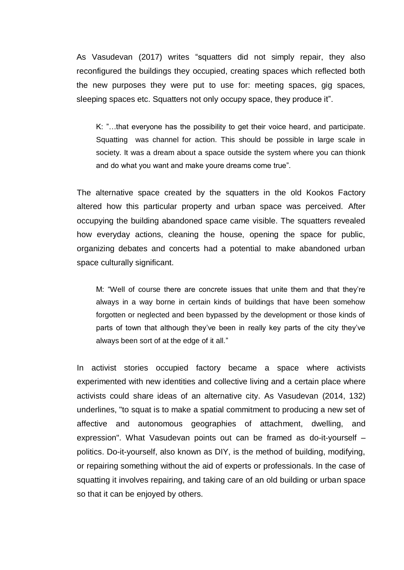As Vasudevan (2017) writes "squatters did not simply repair, they also reconfigured the buildings they occupied, creating spaces which reflected both the new purposes they were put to use for: meeting spaces, gig spaces, sleeping spaces etc. Squatters not only occupy space, they produce it".

K: "…that everyone has the possibility to get their voice heard, and participate. Squatting was channel for action. This should be possible in large scale in society. It was a dream about a space outside the system where you can thionk and do what you want and make youre dreams come true".

The alternative space created by the squatters in the old Kookos Factory altered how this particular property and urban space was perceived. After occupying the building abandoned space came visible. The squatters revealed how everyday actions, cleaning the house, opening the space for public, organizing debates and concerts had a potential to make abandoned urban space culturally significant.

M: "Well of course there are concrete issues that unite them and that they're always in a way borne in certain kinds of buildings that have been somehow forgotten or neglected and been bypassed by the development or those kinds of parts of town that although they've been in really key parts of the city they've always been sort of at the edge of it all."

In activist stories occupied factory became a space where activists experimented with new identities and collective living and a certain place where activists could share ideas of an alternative city. As Vasudevan (2014, 132) underlines, "to squat is to make a spatial commitment to producing a new set of affective and autonomous geographies of attachment, dwelling, and expression". What Vasudevan points out can be framed as do-it-yourself – politics. Do-it-yourself, also known as DIY, is the method of building, modifying, or repairing something without the aid of experts or professionals. In the case of squatting it involves repairing, and taking care of an old building or urban space so that it can be enjoyed by others.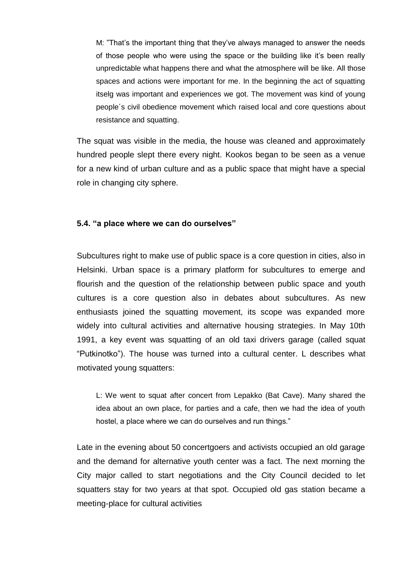M: "That's the important thing that they've always managed to answer the needs of those people who were using the space or the building like it's been really unpredictable what happens there and what the atmosphere will be like. All those spaces and actions were important for me. In the beginning the act of squatting itselg was important and experiences we got. The movement was kind of young people´s civil obedience movement which raised local and core questions about resistance and squatting.

The squat was visible in the media, the house was cleaned and approximately hundred people slept there every night. Kookos began to be seen as a venue for a new kind of urban culture and as a public space that might have a special role in changing city sphere.

#### <span id="page-47-0"></span>**5.4. "a place where we can do ourselves"**

Subcultures right to make use of public space is a core question in cities, also in Helsinki. Urban space is a primary platform for subcultures to emerge and flourish and the question of the relationship between public space and youth cultures is a core question also in debates about subcultures. As new enthusiasts joined the squatting movement, its scope was expanded more widely into cultural activities and alternative housing strategies. In May 10th 1991, a key event was squatting of an old taxi drivers garage (called squat "Putkinotko"). The house was turned into a cultural center. L describes what motivated young squatters:

L: We went to squat after concert from Lepakko (Bat Cave). Many shared the idea about an own place, for parties and a cafe, then we had the idea of youth hostel, a place where we can do ourselves and run things."

Late in the evening about 50 concertgoers and activists occupied an old garage and the demand for alternative youth center was a fact. The next morning the City major called to start negotiations and the City Council decided to let squatters stay for two years at that spot. Occupied old gas station became a meeting-place for cultural activities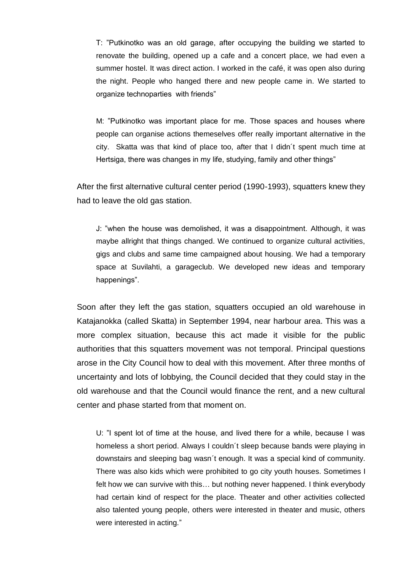T: "Putkinotko was an old garage, after occupying the building we started to renovate the building, opened up a cafe and a concert place, we had even a summer hostel. It was direct action. I worked in the café, it was open also during the night. People who hanged there and new people came in. We started to organize technoparties with friends"

M: "Putkinotko was important place for me. Those spaces and houses where people can organise actions themeselves offer really important alternative in the city. Skatta was that kind of place too, after that I didn´t spent much time at Hertsiga, there was changes in my life, studying, family and other things"

After the first alternative cultural center period (1990-1993), squatters knew they had to leave the old gas station.

J: "when the house was demolished, it was a disappointment. Although, it was maybe allright that things changed. We continued to organize cultural activities, gigs and clubs and same time campaigned about housing. We had a temporary space at Suvilahti, a garageclub. We developed new ideas and temporary happenings".

Soon after they left the gas station, squatters occupied an old warehouse in Katajanokka (called Skatta) in September 1994, near harbour area. This was a more complex situation, because this act made it visible for the public authorities that this squatters movement was not temporal. Principal questions arose in the City Council how to deal with this movement. After three months of uncertainty and lots of lobbying, the Council decided that they could stay in the old warehouse and that the Council would finance the rent, and a new cultural center and phase started from that moment on.

U: "I spent lot of time at the house, and lived there for a while, because I was homeless a short period. Always I couldn´t sleep because bands were playing in downstairs and sleeping bag wasn´t enough. It was a special kind of community. There was also kids which were prohibited to go city youth houses. Sometimes I felt how we can survive with this… but nothing never happened. I think everybody had certain kind of respect for the place. Theater and other activities collected also talented young people, others were interested in theater and music, others were interested in acting."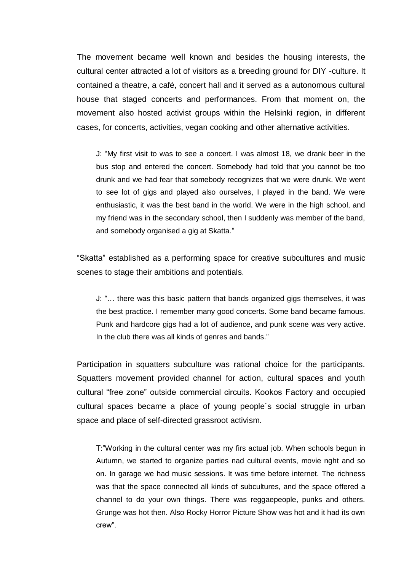The movement became well known and besides the housing interests, the cultural center attracted a lot of visitors as a breeding ground for DIY -culture. It contained a theatre, a café, concert hall and it served as a autonomous cultural house that staged concerts and performances. From that moment on, the movement also hosted activist groups within the Helsinki region, in different cases, for concerts, activities, vegan cooking and other alternative activities.

J: "My first visit to was to see a concert. I was almost 18, we drank beer in the bus stop and entered the concert. Somebody had told that you cannot be too drunk and we had fear that somebody recognizes that we were drunk. We went to see lot of gigs and played also ourselves, I played in the band. We were enthusiastic, it was the best band in the world. We were in the high school, and my friend was in the secondary school, then I suddenly was member of the band, and somebody organised a gig at Skatta."

"Skatta" established as a performing space for creative subcultures and music scenes to stage their ambitions and potentials.

J: "… there was this basic pattern that bands organized gigs themselves, it was the best practice. I remember many good concerts. Some band became famous. Punk and hardcore gigs had a lot of audience, and punk scene was very active. In the club there was all kinds of genres and bands."

Participation in squatters subculture was rational choice for the participants. Squatters movement provided channel for action, cultural spaces and youth cultural "free zone" outside commercial circuits. Kookos Factory and occupied cultural spaces became a place of young people´s social struggle in urban space and place of self-directed grassroot activism.

T:"Working in the cultural center was my firs actual job. When schools begun in Autumn, we started to organize parties nad cultural events, movie nght and so on. In garage we had music sessions. It was time before internet. The richness was that the space connected all kinds of subcultures, and the space offered a channel to do your own things. There was reggaepeople, punks and others. Grunge was hot then. Also Rocky Horror Picture Show was hot and it had its own crew".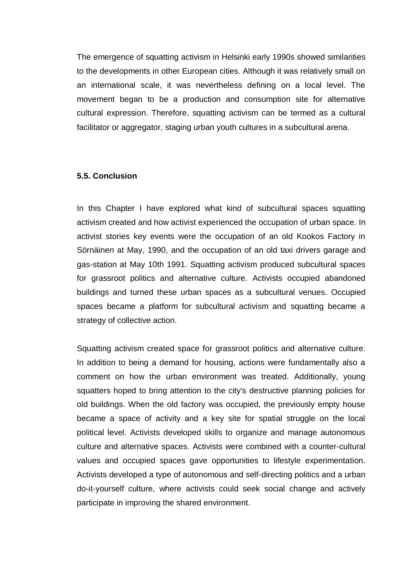The emergence of squatting activism in Helsinki early 1990s showed similarities to the developments in other European cities. Although it was relatively small on an international scale, it was nevertheless defining on a local level. The movement began to be a production and consumption site for alternative cultural expression. Therefore, squatting activism can be termed as a cultural facilitator or aggregator, staging urban youth cultures in a subcultural arena.

#### <span id="page-50-0"></span>**5.5. Conclusion**

In this Chapter I have explored what kind of subcultural spaces squatting activism created and how activist experienced the occupation of urban space. In activist stories key events were the occupation of an old Kookos Factory in Sörnäinen at May, 1990, and the occupation of an old taxi drivers garage and gas-station at May 10th 1991. Squatting activism produced subcultural spaces for grassroot politics and alternative culture. Activists occupied abandoned buildings and turned these urban spaces as a subcultural venues. Occupied spaces became a platform for subcultural activism and squatting became a strategy of collective action.

Squatting activism created space for grassroot politics and alternative culture. In addition to being a demand for housing, actions were fundamentally also a comment on how the urban environment was treated. Additionally, young squatters hoped to bring attention to the city's destructive planning policies for old buildings. When the old factory was occupied, the previously empty house became a space of activity and a key site for spatial struggle on the local political level. Activists developed skills to organize and manage autonomous culture and alternative spaces. Activists were combined with a counter-cultural values and occupied spaces gave opportunities to lifestyle experimentation. Activists developed a type of autonomous and self-directing politics and a urban do-it-yourself culture, where activists could seek social change and actively participate in improving the shared environment.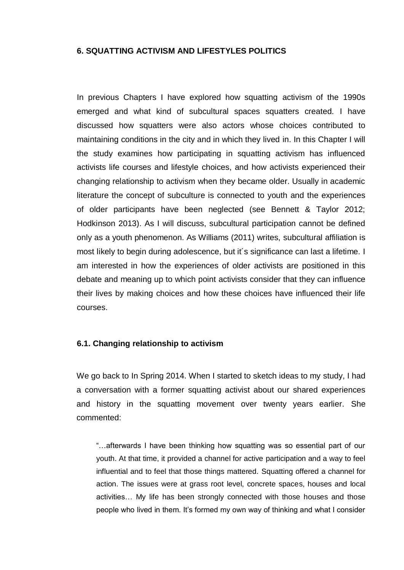## <span id="page-51-0"></span>**6. SQUATTING ACTIVISM AND LIFESTYLES POLITICS**

In previous Chapters I have explored how squatting activism of the 1990s emerged and what kind of subcultural spaces squatters created. I have discussed how squatters were also actors whose choices contributed to maintaining conditions in the city and in which they lived in. In this Chapter I will the study examines how participating in squatting activism has influenced activists life courses and lifestyle choices, and how activists experienced their changing relationship to activism when they became older. Usually in academic literature the concept of subculture is connected to youth and the experiences of older participants have been neglected (see Bennett & Taylor 2012; Hodkinson 2013). As I will discuss, subcultural participation cannot be defined only as a youth phenomenon. As Williams (2011) writes, subcultural affiliation is most likely to begin during adolescence, but it´s significance can last a lifetime. I am interested in how the experiences of older activists are positioned in this debate and meaning up to which point activists consider that they can influence their lives by making choices and how these choices have influenced their life courses.

#### <span id="page-51-1"></span>**6.1. Changing relationship to activism**

We go back to In Spring 2014. When I started to sketch ideas to my study, I had a conversation with a former squatting activist about our shared experiences and history in the squatting movement over twenty years earlier. She commented:

"…afterwards I have been thinking how squatting was so essential part of our youth. At that time, it provided a channel for active participation and a way to feel influential and to feel that those things mattered. Squatting offered a channel for action. The issues were at grass root level, concrete spaces, houses and local activities… My life has been strongly connected with those houses and those people who lived in them. It's formed my own way of thinking and what I consider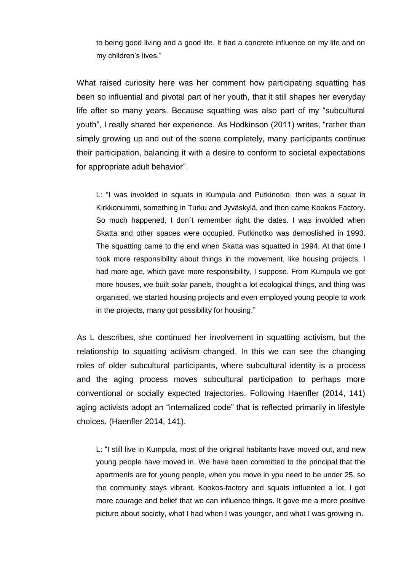to being good living and a good life. It had a concrete influence on my life and on my children's lives."

What raised curiosity here was her comment how participating squatting has been so influential and pivotal part of her youth, that it still shapes her everyday life after so many years. Because squatting was also part of my "subcultural youth", I really shared her experience. As Hodkinson (2011) writes, "rather than simply growing up and out of the scene completely, many participants continue their participation, balancing it with a desire to conform to societal expectations for appropriate adult behavior".

L: "I was involded in squats in Kumpula and Putkinotko, then was a squat in Kirkkonummi, something in Turku and Jyväskylä, and then came Kookos Factory. So much happened, I don´t remember right the dates. I was involded when Skatta and other spaces were occupied. Putkinotko was demoslished in 1993. The squatting came to the end when Skatta was squatted in 1994. At that time I took more responsibility about things in the movement, like housing projects, I had more age, which gave more responsibility, I suppose. From Kumpula we got more houses, we built solar panels, thought a lot ecological things, and thing was organised, we started housing projects and even employed young people to work in the projects, many got possibility for housing."

As L describes, she continued her involvement in squatting activism, but the relationship to squatting activism changed. In this we can see the changing roles of older subcultural participants, where subcultural identity is a process and the aging process moves subcultural participation to perhaps more conventional or socially expected trajectories. Following Haenfler (2014, 141) aging activists adopt an "internalized code" that is reflected primarily in lifestyle choices. (Haenfler 2014, 141).

L: "I still live in Kumpula, most of the original habitants have moved out, and new young people have moved in. We have been committed to the principal that the apartments are for young people, when you move in ypu need to be under 25, so the community stays vibrant. Kookos-factory and squats influented a lot, I got more courage and belief that we can influence things. It gave me a more positive picture about society, what I had when I was younger, and what I was growing in.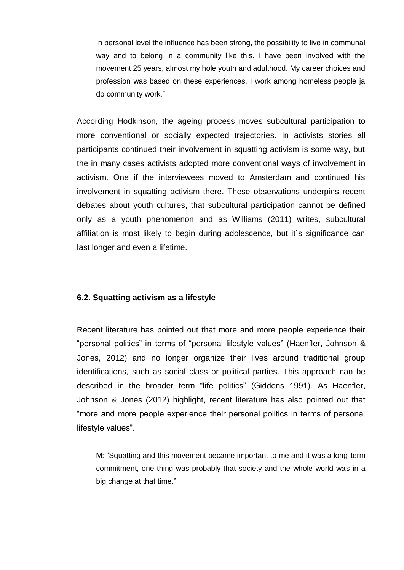In personal level the influence has been strong, the possibility to live in communal way and to belong in a community like this. I have been involved with the movement 25 years, almost my hole youth and adulthood. My career choices and profession was based on these experiences, I work among homeless people ja do community work."

According Hodkinson, the ageing process moves subcultural participation to more conventional or socially expected trajectories. In activists stories all participants continued their involvement in squatting activism is some way, but the in many cases activists adopted more conventional ways of involvement in activism. One if the interviewees moved to Amsterdam and continued his involvement in squatting activism there. These observations underpins recent debates about youth cultures, that subcultural participation cannot be defined only as a youth phenomenon and as Williams (2011) writes, subcultural affiliation is most likely to begin during adolescence, but it´s significance can last longer and even a lifetime.

## <span id="page-53-0"></span>**6.2. Squatting activism as a lifestyle**

Recent literature has pointed out that more and more people experience their "personal politics" in terms of "personal lifestyle values" (Haenfler, Johnson & Jones, 2012) and no longer organize their lives around traditional group identifications, such as social class or political parties. This approach can be described in the broader term "life politics" (Giddens 1991). As Haenfler, Johnson & Jones (2012) highlight, recent literature has also pointed out that "more and more people experience their personal politics in terms of personal lifestyle values".

M: "Squatting and this movement became important to me and it was a long-term commitment, one thing was probably that society and the whole world was in a big change at that time."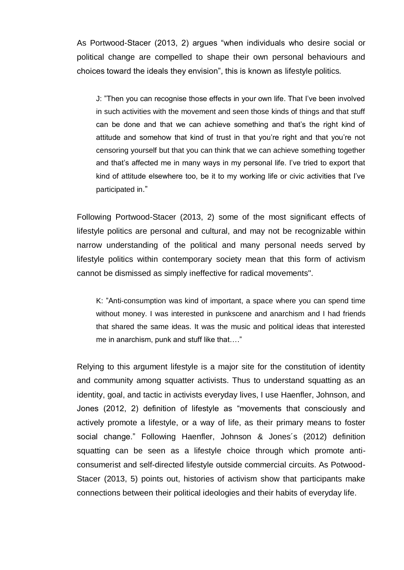As Portwood-Stacer (2013, 2) argues "when individuals who desire social or political change are compelled to shape their own personal behaviours and choices toward the ideals they envision", this is known as lifestyle politics*.*

J: "Then you can recognise those effects in your own life. That I've been involved in such activities with the movement and seen those kinds of things and that stuff can be done and that we can achieve something and that's the right kind of attitude and somehow that kind of trust in that you're right and that you're not censoring yourself but that you can think that we can achieve something together and that's affected me in many ways in my personal life. I've tried to export that kind of attitude elsewhere too, be it to my working life or civic activities that I've participated in."

Following Portwood-Stacer (2013, 2) some of the most significant effects of lifestyle politics are personal and cultural, and may not be recognizable within narrow understanding of the political and many personal needs served by lifestyle politics within contemporary society mean that this form of activism cannot be dismissed as simply ineffective for radical movements".

K: "Anti-consumption was kind of important, a space where you can spend time without money. I was interested in punkscene and anarchism and I had friends that shared the same ideas. It was the music and political ideas that interested me in anarchism, punk and stuff like that…."

Relying to this argument lifestyle is a major site for the constitution of identity and community among squatter activists. Thus to understand squatting as an identity, goal, and tactic in activists everyday lives, I use Haenfler, Johnson, and Jones (2012, 2) definition of lifestyle as "movements that consciously and actively promote a lifestyle, or a way of life, as their primary means to foster social change." Following Haenfler, Johnson & Jones´s (2012) definition squatting can be seen as a lifestyle choice through which promote anticonsumerist and self-directed lifestyle outside commercial circuits. As Potwood-Stacer (2013, 5) points out, histories of activism show that participants make connections between their political ideologies and their habits of everyday life.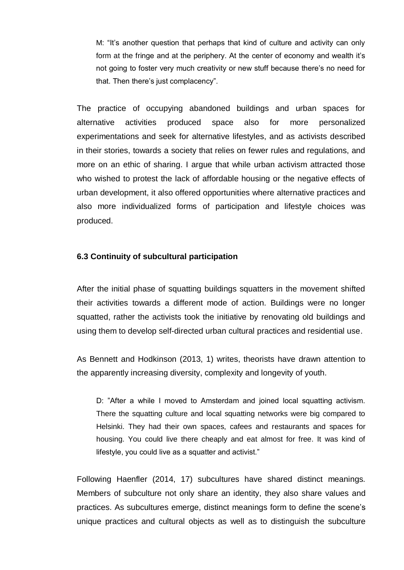M: "It's another question that perhaps that kind of culture and activity can only form at the fringe and at the periphery. At the center of economy and wealth it's not going to foster very much creativity or new stuff because there's no need for that. Then there's just complacency".

The practice of occupying abandoned buildings and urban spaces for alternative activities produced space also for more personalized experimentations and seek for alternative lifestyles, and as activists described in their stories, towards a society that relies on fewer rules and regulations, and more on an ethic of sharing. I argue that while urban activism attracted those who wished to protest the lack of affordable housing or the negative effects of urban development, it also offered opportunities where alternative practices and also more individualized forms of participation and lifestyle choices was produced.

## <span id="page-55-0"></span>**6.3 Continuity of subcultural participation**

After the initial phase of squatting buildings squatters in the movement shifted their activities towards a different mode of action. Buildings were no longer squatted, rather the activists took the initiative by renovating old buildings and using them to develop self-directed urban cultural practices and residential use.

As Bennett and Hodkinson (2013, 1) writes, theorists have drawn attention to the apparently increasing diversity, complexity and longevity of youth.

D: "After a while I moved to Amsterdam and joined local squatting activism. There the squatting culture and local squatting networks were big compared to Helsinki. They had their own spaces, cafees and restaurants and spaces for housing. You could live there cheaply and eat almost for free. It was kind of lifestyle, you could live as a squatter and activist."

Following Haenfler (2014, 17) subcultures have shared distinct meanings*.* Members of subculture not only share an identity, they also share values and practices. As subcultures emerge, distinct meanings form to define the scene's unique practices and cultural objects as well as to distinguish the subculture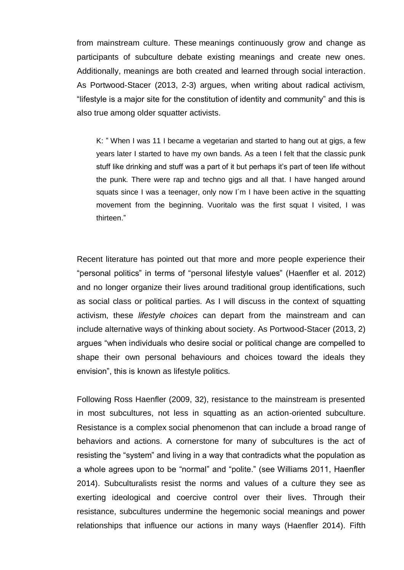from mainstream culture. These meanings continuously grow and change as participants of subculture debate existing meanings and create new ones. Additionally, meanings are both created and learned through social interaction. As Portwood-Stacer (2013, 2-3) argues, when writing about radical activism, "lifestyle is a major site for the constitution of identity and community" and this is also true among older squatter activists.

K: " When I was 11 I became a vegetarian and started to hang out at gigs, a few years later I started to have my own bands. As a teen I felt that the classic punk stuff like drinking and stuff was a part of it but perhaps it's part of teen life without the punk. There were rap and techno gigs and all that. I have hanged around squats since I was a teenager, only now I´m I have been active in the squatting movement from the beginning. Vuoritalo was the first squat I visited, I was thirteen."

Recent literature has pointed out that more and more people experience their "personal politics" in terms of "personal lifestyle values" (Haenfler et al. 2012) and no longer organize their lives around traditional group identifications, such as social class or political parties. As I will discuss in the context of squatting activism, these *lifestyle choices* can depart from the mainstream and can include alternative ways of thinking about society. As Portwood-Stacer (2013, 2) argues "when individuals who desire social or political change are compelled to shape their own personal behaviours and choices toward the ideals they envision", this is known as lifestyle politics*.*

Following Ross Haenfler (2009, 32), resistance to the mainstream is presented in most subcultures, not less in squatting as an action-oriented subculture. Resistance is a complex social phenomenon that can include a broad range of behaviors and actions. A cornerstone for many of subcultures is the act of resisting the "system" and living in a way that contradicts what the population as a whole agrees upon to be "normal" and "polite." (see Williams 2011, Haenfler 2014). Subculturalists resist the norms and values of a culture they see as exerting ideological and coercive control over their lives. Through their resistance, subcultures undermine the hegemonic social meanings and power relationships that influence our actions in many ways (Haenfler 2014). Fifth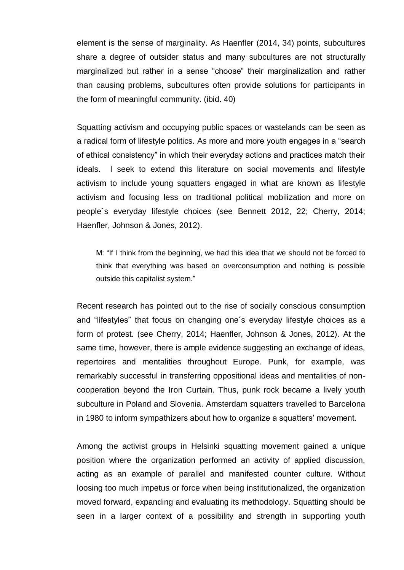element is the sense of marginality. As Haenfler (2014, 34) points, subcultures share a degree of outsider status and many subcultures are not structurally marginalized but rather in a sense "choose" their marginalization and rather than causing problems, subcultures often provide solutions for participants in the form of meaningful community. (ibid. 40)

Squatting activism and occupying public spaces or wastelands can be seen as a radical form of lifestyle politics. As more and more youth engages in a "search of ethical consistency" in which their everyday actions and practices match their ideals. I seek to extend this literature on social movements and lifestyle activism to include young squatters engaged in what are known as lifestyle activism and focusing less on traditional political mobilization and more on people´s everyday lifestyle choices (see Bennett 2012, 22; Cherry, 2014; Haenfler, Johnson & Jones, 2012).

M: "If I think from the beginning, we had this idea that we should not be forced to think that everything was based on overconsumption and nothing is possible outside this capitalist system."

Recent research has pointed out to the rise of socially conscious consumption and "lifestyles" that focus on changing one´s everyday lifestyle choices as a form of protest. (see Cherry, 2014; Haenfler, Johnson & Jones, 2012). At the same time, however, there is ample evidence suggesting an exchange of ideas, repertoires and mentalities throughout Europe. Punk, for example, was remarkably successful in transferring oppositional ideas and mentalities of noncooperation beyond the Iron Curtain. Thus, punk rock became a lively youth subculture in Poland and Slovenia. Amsterdam squatters travelled to Barcelona in 1980 to inform sympathizers about how to organize a squatters' movement.

Among the activist groups in Helsinki squatting movement gained a unique position where the organization performed an activity of applied discussion, acting as an example of parallel and manifested counter culture. Without loosing too much impetus or force when being institutionalized, the organization moved forward, expanding and evaluating its methodology. Squatting should be seen in a larger context of a possibility and strength in supporting youth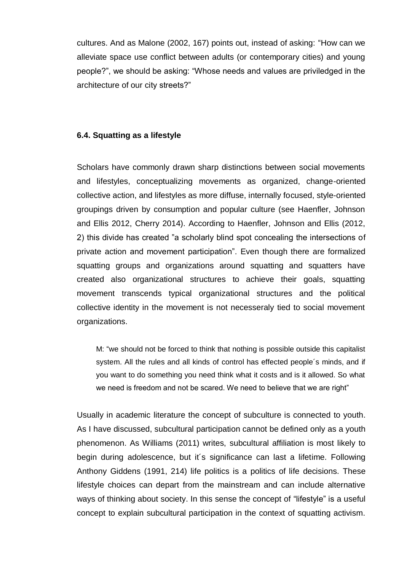cultures. And as Malone (2002, 167) points out, instead of asking: "How can we alleviate space use conflict between adults (or contemporary cities) and young people?", we should be asking: "Whose needs and values are priviledged in the architecture of our city streets?"

### <span id="page-58-0"></span>**6.4. Squatting as a lifestyle**

Scholars have commonly drawn sharp distinctions between social movements and lifestyles, conceptualizing movements as organized, change-oriented collective action, and lifestyles as more diffuse, internally focused, style-oriented groupings driven by consumption and popular culture (see Haenfler, Johnson and Ellis 2012, Cherry 2014). According to Haenfler, Johnson and Ellis (2012, 2) this divide has created "a scholarly blind spot concealing the intersections of private action and movement participation". Even though there are formalized squatting groups and organizations around squatting and squatters have created also organizational structures to achieve their goals, squatting movement transcends typical organizational structures and the political collective identity in the movement is not necesseraly tied to social movement organizations.

M: "we should not be forced to think that nothing is possible outside this capitalist system. All the rules and all kinds of control has effected people´s minds, and if you want to do something you need think what it costs and is it allowed. So what we need is freedom and not be scared. We need to believe that we are right"

Usually in academic literature the concept of subculture is connected to youth. As I have discussed, subcultural participation cannot be defined only as a youth phenomenon. As Williams (2011) writes, subcultural affiliation is most likely to begin during adolescence, but it´s significance can last a lifetime. Following Anthony Giddens (1991, 214) life politics is a politics of life decisions. These lifestyle choices can depart from the mainstream and can include alternative ways of thinking about society. In this sense the concept of "lifestyle" is a useful concept to explain subcultural participation in the context of squatting activism.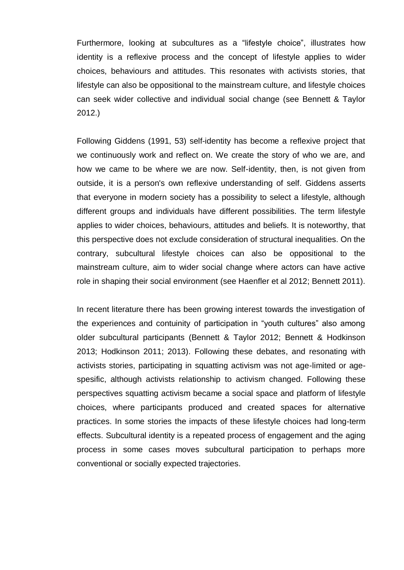Furthermore, looking at subcultures as a "lifestyle choice", illustrates how identity is a reflexive process and the concept of lifestyle applies to wider choices, behaviours and attitudes. This resonates with activists stories, that lifestyle can also be oppositional to the mainstream culture, and lifestyle choices can seek wider collective and individual social change (see Bennett & Taylor 2012.)

Following Giddens (1991, 53) self-identity has become a reflexive project that we continuously work and reflect on. We create the story of who we are, and how we came to be where we are now. Self-identity, then, is not given from outside, it is a person's own reflexive understanding of self. Giddens asserts that everyone in modern society has a possibility to select a lifestyle, although different groups and individuals have different possibilities. The term lifestyle applies to wider choices, behaviours, attitudes and beliefs. It is noteworthy, that this perspective does not exclude consideration of structural inequalities. On the contrary, subcultural lifestyle choices can also be oppositional to the mainstream culture, aim to wider social change where actors can have active role in shaping their social environment (see Haenfler et al 2012; Bennett 2011).

In recent literature there has been growing interest towards the investigation of the experiences and contuinity of participation in "youth cultures" also among older subcultural participants (Bennett & Taylor 2012; Bennett & Hodkinson 2013; Hodkinson 2011; 2013). Following these debates, and resonating with activists stories, participating in squatting activism was not age-limited or agespesific, although activists relationship to activism changed. Following these perspectives squatting activism became a social space and platform of lifestyle choices, where participants produced and created spaces for alternative practices. In some stories the impacts of these lifestyle choices had long-term effects. Subcultural identity is a repeated process of engagement and the aging process in some cases moves subcultural participation to perhaps more conventional or socially expected trajectories.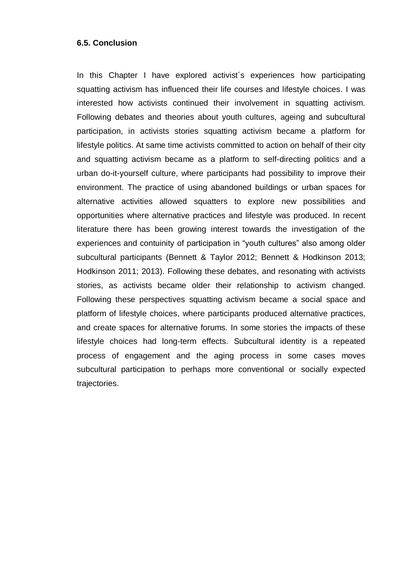### <span id="page-60-0"></span>**6.5. Conclusion**

In this Chapter I have explored activist´s experiences how participating squatting activism has influenced their life courses and lifestyle choices. I was interested how activists continued their involvement in squatting activism. Following debates and theories about youth cultures, ageing and subcultural participation, in activists stories squatting activism became a platform for lifestyle politics. At same time activists committed to action on behalf of their city and squatting activism became as a platform to self-directing politics and a urban do-it-yourself culture, where participants had possibility to improve their environment. The practice of using abandoned buildings or urban spaces for alternative activities allowed squatters to explore new possibilities and opportunities where alternative practices and lifestyle was produced. In recent literature there has been growing interest towards the investigation of the experiences and contuinity of participation in "youth cultures" also among older subcultural participants (Bennett & Taylor 2012; Bennett & Hodkinson 2013; Hodkinson 2011; 2013). Following these debates, and resonating with activists stories, as activists became older their relationship to activism changed. Following these perspectives squatting activism became a social space and platform of lifestyle choices, where participants produced alternative practices, and create spaces for alternative forums. In some stories the impacts of these lifestyle choices had long-term effects. Subcultural identity is a repeated process of engagement and the aging process in some cases moves subcultural participation to perhaps more conventional or socially expected trajectories.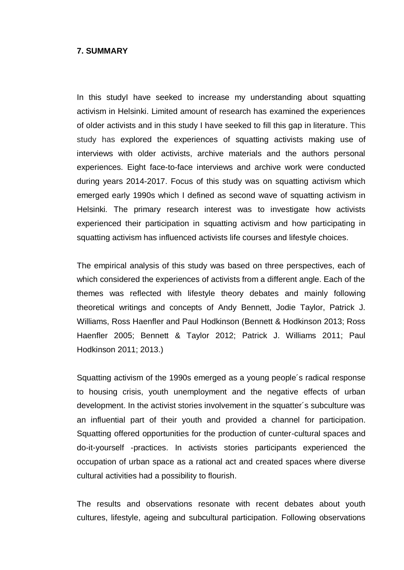#### <span id="page-61-0"></span>**7. SUMMARY**

In this studyI have seeked to increase my understanding about squatting activism in Helsinki. Limited amount of research has examined the experiences of older activists and in this study I have seeked to fill this gap in literature. This study has explored the experiences of squatting activists making use of interviews with older activists, archive materials and the authors personal experiences. Eight face-to-face interviews and archive work were conducted during years 2014-2017. Focus of this study was on squatting activism which emerged early 1990s which I defined as second wave of squatting activism in Helsinki*.* The primary research interest was to investigate how activists experienced their participation in squatting activism and how participating in squatting activism has influenced activists life courses and lifestyle choices.

The empirical analysis of this study was based on three perspectives, each of which considered the experiences of activists from a different angle. Each of the themes was reflected with lifestyle theory debates and mainly following theoretical writings and concepts of Andy Bennett, Jodie Taylor, Patrick J. Williams, Ross Haenfler and Paul Hodkinson (Bennett & Hodkinson 2013; Ross Haenfler 2005; Bennett & Taylor 2012; Patrick J. Williams 2011; Paul Hodkinson 2011; 2013.)

Squatting activism of the 1990s emerged as a young people´s radical response to housing crisis, youth unemployment and the negative effects of urban development. In the activist stories involvement in the squatter´s subculture was an influential part of their youth and provided a channel for participation. Squatting offered opportunities for the production of cunter-cultural spaces and do-it-yourself -practices. In activists stories participants experienced the occupation of urban space as a rational act and created spaces where diverse cultural activities had a possibility to flourish.

The results and observations resonate with recent debates about youth cultures, lifestyle, ageing and subcultural participation. Following observations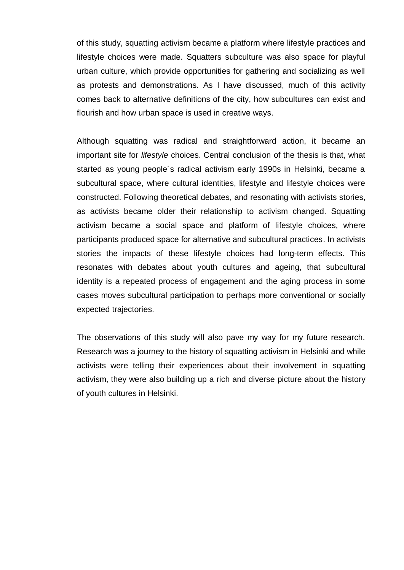of this study, squatting activism became a platform where lifestyle practices and lifestyle choices were made. Squatters subculture was also space for playful urban culture, which provide opportunities for gathering and socializing as well as protests and demonstrations. As I have discussed, much of this activity comes back to alternative definitions of the city, how subcultures can exist and flourish and how urban space is used in creative ways.

Although squatting was radical and straightforward action, it became an important site for *lifestyle* choices. Central conclusion of the thesis is that, what started as young people´s radical activism early 1990s in Helsinki, became a subcultural space, where cultural identities, lifestyle and lifestyle choices were constructed. Following theoretical debates, and resonating with activists stories, as activists became older their relationship to activism changed. Squatting activism became a social space and platform of lifestyle choices, where participants produced space for alternative and subcultural practices. In activists stories the impacts of these lifestyle choices had long-term effects. This resonates with debates about youth cultures and ageing, that subcultural identity is a repeated process of engagement and the aging process in some cases moves subcultural participation to perhaps more conventional or socially expected trajectories.

The observations of this study will also pave my way for my future research. Research was a journey to the history of squatting activism in Helsinki and while activists were telling their experiences about their involvement in squatting activism, they were also building up a rich and diverse picture about the history of youth cultures in Helsinki.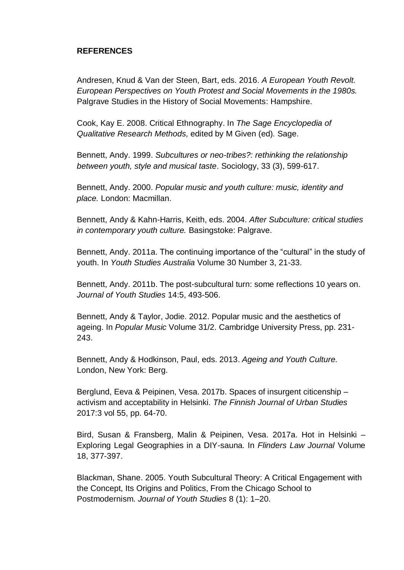## <span id="page-63-0"></span>**REFERENCES**

Andresen, Knud & Van der Steen, Bart, eds. 2016. *A European Youth Revolt. European Perspectives on Youth Protest and Social Movements in the 1980s.* Palgrave Studies in the History of Social Movements: Hampshire.

Cook, Kay E. 2008. Critical Ethnography. In *The Sage Encyclopedia of Qualitative Research Methods,* edited by M Given (ed)*.* Sage.

Bennett, Andy. 1999. *Subcultures or neo-tribes?: rethinking the relationship between youth, style and musical taste*. Sociology, 33 (3), 599-617.

Bennett, Andy. 2000. *Popular music and youth culture: music, identity and place.* London: Macmillan.

Bennett, Andy & Kahn-Harris, Keith, eds. 2004. *After Subculture: critical studies in contemporary youth culture.* Basingstoke: Palgrave.

Bennett, Andy. 2011a. The continuing importance of the "cultural" in the study of youth. In *Youth Studies Australia* Volume 30 Number 3, 21-33.

Bennett, Andy. 2011b. The post-subcultural turn: some reflections 10 years on. *Journal of Youth Studies* 14:5, 493-506.

Bennett, Andy & Taylor, Jodie. 2012. Popular music and the aesthetics of ageing. In *Popular Music* Volume 31/2. Cambridge University Press, pp. 231- 243.

Bennett, Andy & Hodkinson, Paul, eds. 2013. *Ageing and Youth Culture.*  London, New York: Berg.

Berglund, Eeva & Peipinen, Vesa. 2017b. Spaces of insurgent citicenship – activism and acceptability in Helsinki. *The Finnish Journal of Urban Studies* 2017:3 vol 55, pp. 64-70.

Bird, Susan & Fransberg, Malin & Peipinen, Vesa. 2017a. Hot in Helsinki – Exploring Legal Geographies in a DIY-sauna. In *Flinders Law Journal* Volume 18, 377-397.

Blackman, Shane. 2005. Youth Subcultural Theory: A Critical Engagement with the Concept, Its Origins and Politics, From the Chicago School to Postmodernism. *Journal of Youth Studies* 8 (1): 1–20.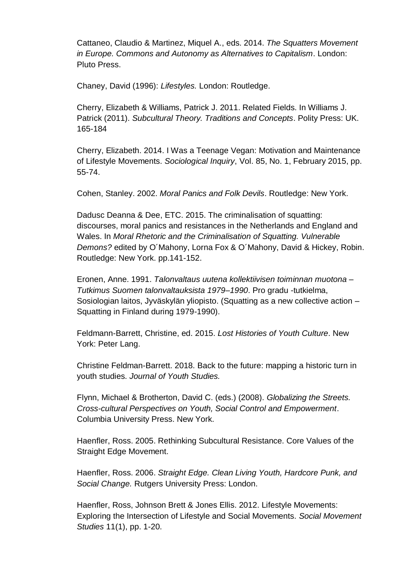Cattaneo, Claudio & Martinez, Miquel A., eds. 2014. *The Squatters Movement in Europe. Commons and Autonomy as Alternatives to Capitalism*. London: Pluto Press.

Chaney, David (1996): *Lifestyles.* London: Routledge.

Cherry, Elizabeth & Williams, Patrick J. 2011. Related Fields. In Williams J. Patrick (2011). *Subcultural Theory. Traditions and Concepts*. Polity Press: UK. 165-184

Cherry, Elizabeth. 2014. I Was a Teenage Vegan: Motivation and Maintenance of Lifestyle Movements. *Sociological Inquiry*, Vol. 85, No. 1, February 2015, pp. 55-74.

Cohen, Stanley. 2002. *Moral Panics and Folk Devils*. Routledge: New York.

Dadusc Deanna & Dee, ETC. 2015. The criminalisation of squatting: discourses, moral panics and resistances in the Netherlands and England and Wales. In *Moral Rhetoric and the Criminalisation of Squatting. Vulnerable Demons?* edited by O´Mahony, Lorna Fox & O´Mahony, David & Hickey, Robin. Routledge: New York. pp.141-152.

Eronen, Anne. 1991. *Talonvaltaus uutena kollektiivisen toiminnan muotona – Tutkimus Suomen talonvaltauksista 1979–1990*. Pro gradu -tutkielma, Sosiologian laitos, Jyväskylän yliopisto. (Squatting as a new collective action – Squatting in Finland during 1979-1990).

Feldmann-Barrett, Christine, ed. 2015. *Lost Histories of Youth Culture*. New York: Peter Lang.

Christine Feldman-Barrett. 2018. Back to the future: mapping a historic turn in youth studies. *Journal of Youth Studies.*

Flynn, Michael & Brotherton, David C. (eds.) (2008). *Globalizing the Streets. Cross-cultural Perspectives on Youth, Social Control and Empowerment*. Columbia University Press. New York.

Haenfler, Ross. 2005. Rethinking Subcultural Resistance. Core Values of the Straight Edge Movement.

Haenfler, Ross. 2006. *Straight Edge. Clean Living Youth, Hardcore Punk, and Social Change.* Rutgers University Press: London.

Haenfler, Ross, Johnson Brett & Jones Ellis. 2012. Lifestyle Movements: Exploring the Intersection of Lifestyle and Social Movements. *Social Movement Studies* 11(1), pp. 1-20.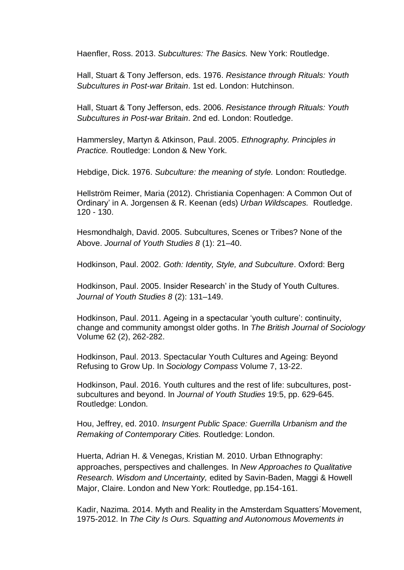Haenfler, Ross. 2013. *Subcultures: The Basics.* New York: Routledge.

Hall, Stuart & Tony Jefferson, eds. 1976. *Resistance through Rituals: Youth Subcultures in Post-war Britain*. 1st ed. London: Hutchinson.

Hall, Stuart & Tony Jefferson, eds. 2006. *Resistance through Rituals: Youth Subcultures in Post-war Britain*. 2nd ed. London: Routledge.

Hammersley, Martyn & Atkinson, Paul. 2005. *Ethnography. Principles in Practice.* Routledge: London & New York.

Hebdige, Dick. 1976. *Subculture: the meaning of style.* London: Routledge.

Hellström Reimer, Maria (2012). Christiania Copenhagen: A Common Out of Ordinary' in A. Jorgensen & R. Keenan (eds) *Urban Wildscapes.* Routledge. 120 - 130.

Hesmondhalgh, David. 2005. Subcultures, Scenes or Tribes? None of the Above. *Journal of Youth Studies 8* (1): 21–40.

Hodkinson, Paul. 2002. *Goth: Identity, Style, and Subculture*. Oxford: Berg

Hodkinson, Paul. 2005. Insider Research' in the Study of Youth Cultures. *Journal of Youth Studies 8* (2): 131–149.

Hodkinson, Paul. 2011. Ageing in a spectacular 'youth culture': continuity, change and community amongst older goths. In *The British Journal of Sociology* Volume 62 (2), 262-282.

Hodkinson, Paul. 2013. Spectacular Youth Cultures and Ageing: Beyond Refusing to Grow Up. In *Sociology Compass* Volume 7, 13-22.

Hodkinson, Paul. 2016. Youth cultures and the rest of life: subcultures, postsubcultures and beyond. In *Journal of Youth Studies* 19:5, pp. 629-645. Routledge: London.

Hou, Jeffrey, ed. 2010. *Insurgent Public Space: Guerrilla Urbanism and the Remaking of Contemporary Cities.* Routledge: London.

Huerta, Adrian H. & Venegas, Kristian M. 2010. Urban Ethnography: approaches, perspectives and challenges. In *New Approaches to Qualitative Research. Wisdom and Uncertainty,* edited by Savin-Baden, Maggi & Howell Major, Claire. London and New York: Routledge, pp.154-161.

Kadir, Nazima. 2014. Myth and Reality in the Amsterdam Squatters´Movement, 1975-2012. In *The City Is Ours. Squatting and Autonomous Movements in*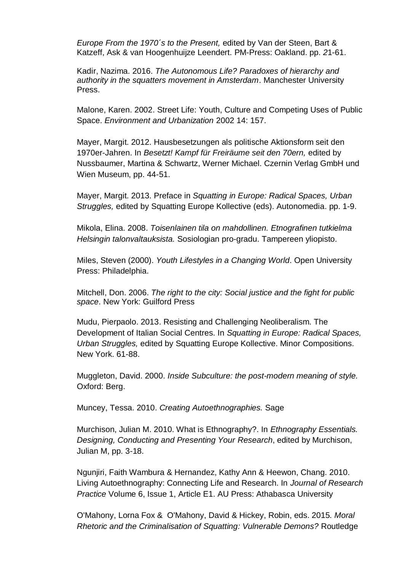*Europe From the 1970´s to the Present,* edited by Van der Steen, Bart & Katzeff, Ask & van Hoogenhuijze Leendert. PM-Press: Oakland. pp. *2*1-61.

Kadir, Nazima. 2016. *The Autonomous Life? Paradoxes of hierarchy and authority in the squatters movement in Amsterdam*. Manchester University Press.

Malone, Karen. 2002. Street Life: Youth, Culture and Competing Uses of Public Space. *Environment and Urbanization* 2002 14: 157.

Mayer, Margit. 2012. Hausbesetzungen als politische Aktionsform seit den 1970er-Jahren. In *Besetzt! Kampf für Freiräume seit den 70ern,* edited by Nussbaumer, Martina & Schwartz, Werner Michael. Czernin Verlag GmbH und Wien Museum, pp. 44-51.

Mayer, Margit. 2013. Preface in *Squatting in Europe: Radical Spaces, Urban Struggles,* edited by Squatting Europe Kollective (eds). Autonomedia. pp. 1-9.

Mikola, Elina. 2008. *Toisenlainen tila on mahdollinen. Etnografinen tutkielma Helsingin talonvaltauksista.* Sosiologian pro-gradu. Tampereen yliopisto.

Miles, Steven (2000). *Youth Lifestyles in a Changing World*. Open University Press: Philadelphia.

Mitchell, Don. 2006. *The right to the city: Social justice and the fight for public space*. New York: Guilford Press

Mudu, Pierpaolo. 2013. Resisting and Challenging Neoliberalism. The Development of Italian Social Centres. In *Squatting in Europe: Radical Spaces, Urban Struggles,* edited by Squatting Europe Kollective. Minor Compositions. New York. 61-88.

Muggleton, David. 2000. *Inside Subculture: the post-modern meaning of style.* Oxford: Berg.

Muncey, Tessa. 2010. *Creating Autoethnographies.* Sage

Murchison, Julian M. 2010. What is Ethnography?. In *Ethnography Essentials. Designing, Conducting and Presenting Your Research*, edited by Murchison, Julian M, pp. 3-18.

Ngunjiri, Faith Wambura & Hernandez, Kathy Ann & Heewon, Chang. 2010. Living Autoethnography: Connecting Life and Research. In *Journal of Research Practice* Volume 6, Issue 1, Article E1. AU Press: Athabasca University

O'Mahony, Lorna Fox & O'Mahony, David & Hickey, Robin, eds. 2015*. Moral Rhetoric and the Criminalisation of Squatting: Vulnerable Demons?* Routledge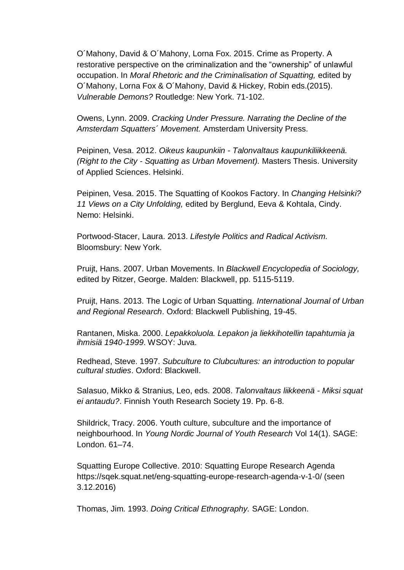O´Mahony, David & O´Mahony, Lorna Fox. 2015. Crime as Property. A restorative perspective on the criminalization and the "ownership" of unlawful occupation. In *Moral Rhetoric and the Criminalisation of Squatting,* edited by O´Mahony, Lorna Fox & O´Mahony, David & Hickey, Robin eds.(2015). *Vulnerable Demons?* Routledge: New York. 71-102.

Owens, Lynn. 2009. *Cracking Under Pressure. Narrating the Decline of the Amsterdam Squatters´ Movement.* Amsterdam University Press.

Peipinen, Vesa. 2012. *Oikeus kaupunkiin - Talonvaltaus kaupunkiliikkeenä. (Right to the City - Squatting as Urban Movement).* Masters Thesis. University of Applied Sciences. Helsinki.

Peipinen, Vesa. 2015. The Squatting of Kookos Factory. In *Changing Helsinki? 11 Views on a City Unfolding,* edited by Berglund, Eeva & Kohtala, Cindy. Nemo: Helsinki.

Portwood-Stacer, Laura. 2013. *Lifestyle Politics and Radical Activism.* Bloomsbury: New York.

Pruijt, Hans. 2007. Urban Movements. In *Blackwell Encyclopedia of Sociology,*  edited by Ritzer, George. Malden: Blackwell, pp. 5115-5119.

Pruijt, Hans. 2013. The Logic of Urban Squatting. *International Journal of Urban and Regional Research*. Oxford: Blackwell Publishing, 19-45.

Rantanen, Miska. 2000. *Lepakkoluola. Lepakon ja liekkihotellin tapahtumia ja ihmisiä 1940-1999*. WSOY: Juva.

Redhead, Steve. 1997. *Subculture to Clubcultures: an introduction to popular cultural studies*. Oxford: Blackwell.

Salasuo, Mikko & Stranius, Leo, eds. 2008. *Talonvaltaus liikkeenä - Miksi squat ei antaudu?*. Finnish Youth Research Society 19. Pp. 6-8.

Shildrick, Tracy. 2006. Youth culture, subculture and the importance of neighbourhood. In *Young Nordic Journal of Youth Research* Vol 14(1). SAGE: London. 61–74.

Squatting Europe Collective. 2010: Squatting Europe Research Agenda https://sqek.squat.net/eng-squatting-europe-research-agenda-v-1-0/ (seen 3.12.2016)

Thomas, Jim. 1993. *Doing Critical Ethnography.* SAGE: London.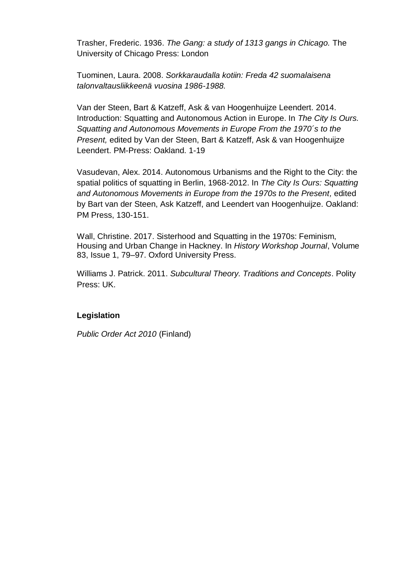Trasher, Frederic. 1936. *The Gang: a study of 1313 gangs in Chicago.* The University of Chicago Press: London

Tuominen, Laura. 2008. *Sorkkaraudalla kotiin: Freda 42 suomalaisena talonvaltausliikkeenä vuosina 1986-1988.*

Van der Steen, Bart & Katzeff, Ask & van Hoogenhuijze Leendert. 2014. Introduction: Squatting and Autonomous Action in Europe. In *The City Is Ours. Squatting and Autonomous Movements in Europe From the 1970´s to the Present,* edited by Van der Steen, Bart & Katzeff, Ask & van Hoogenhuijze Leendert. PM-Press: Oakland. 1-19

Vasudevan, Alex. 2014. Autonomous Urbanisms and the Right to the City: the spatial politics of squatting in Berlin, 1968-2012. In *The City Is Ours: Squatting and Autonomous Movements in Europe from the 1970s to the Present,* edited by Bart van der Steen, Ask Katzeff, and Leendert van Hoogenhuijze. Oakland: PM Press, 130-151.

Wall, Christine. 2017. Sisterhood and Squatting in the 1970s: Feminism, Housing and Urban Change in Hackney. In *History Workshop Journal*, Volume 83, Issue 1, 79–97. Oxford University Press.

Williams J. Patrick. 2011. *Subcultural Theory. Traditions and Concepts*. Polity Press: UK.

# **Legislation**

*Public Order Act 2010* (Finland)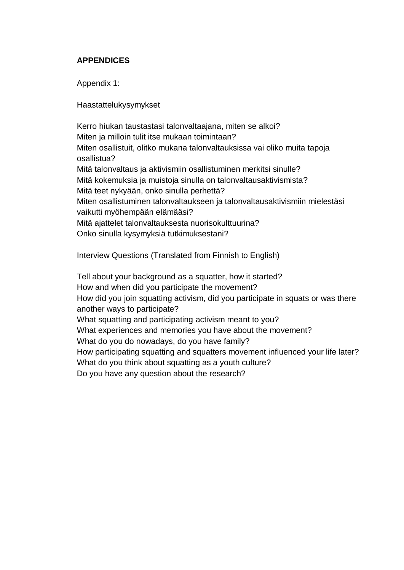# <span id="page-69-0"></span>**APPENDICES**

Appendix 1:

Haastattelukysymykset

Kerro hiukan taustastasi talonvaltaajana, miten se alkoi? Miten ja milloin tulit itse mukaan toimintaan? Miten osallistuit, olitko mukana talonvaltauksissa vai oliko muita tapoja osallistua? Mitä talonvaltaus ja aktivismiin osallistuminen merkitsi sinulle? Mitä kokemuksia ja muistoja sinulla on talonvaltausaktivismista? Mitä teet nykyään, onko sinulla perhettä? Miten osallistuminen talonvaltaukseen ja talonvaltausaktivismiin mielestäsi vaikutti myöhempään elämääsi? Mitä ajattelet talonvaltauksesta nuorisokulttuurina? Onko sinulla kysymyksiä tutkimuksestani?

Interview Questions (Translated from Finnish to English)

Tell about your background as a squatter, how it started? How and when did you participate the movement? How did you join squatting activism, did you participate in squats or was there another ways to participate? What squatting and participating activism meant to you? What experiences and memories you have about the movement? What do you do nowadays, do you have family? How participating squatting and squatters movement influenced your life later? What do you think about squatting as a youth culture? Do you have any question about the research?